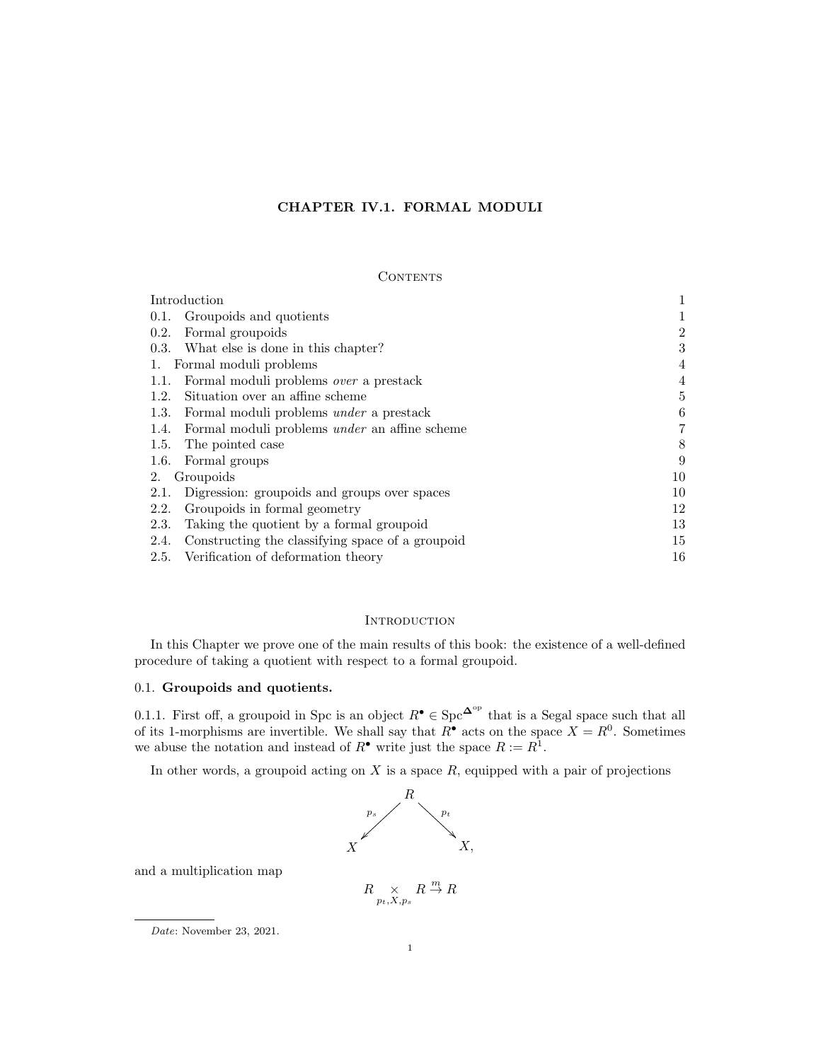# CHAPTER IV.1. FORMAL MODULI

### **CONTENTS**

| Introduction                                                 |                |
|--------------------------------------------------------------|----------------|
| 0.1. Groupoids and quotients                                 |                |
| 0.2.<br>Formal groupoids                                     | $\overline{2}$ |
| 0.3. What else is done in this chapter?                      | 3              |
| Formal moduli problems<br>1.                                 | $\overline{4}$ |
| Formal moduli problems <i>over</i> a prestack<br>1.1.        | 4              |
| Situation over an affine scheme<br>1.2.                      | 5              |
| Formal moduli problems <i>under</i> a prestack<br>1.3.       | 6              |
| Formal moduli problems <i>under</i> an affine scheme<br>1.4. | $\overline{7}$ |
| The pointed case<br>1.5.                                     | 8              |
| 1.6. Formal groups                                           | 9              |
| Groupoids<br>2.                                              | 10             |
| 2.1.<br>Digression: groupoids and groups over spaces         | 10             |
| Groupoids in formal geometry<br>2.2.                         | 12             |
| Taking the quotient by a formal groupoid<br>2.3.             | 13             |
| Constructing the classifying space of a groupoid<br>2.4.     | 15             |
| 2.5. Verification of deformation theory                      | 16             |

# **INTRODUCTION**

In this Chapter we prove one of the main results of this book: the existence of a well-defined procedure of taking a quotient with respect to a formal groupoid.

# 0.1. Groupoids and quotients.

0.1.1. First off, a groupoid in Spc is an object  $R^{\bullet} \in \text{Spc}^{\mathbf{\Delta}^{\text{op}}}$  that is a Segal space such that all of its 1-morphisms are invertible. We shall say that  $R^{\bullet}$  acts on the space  $X = R^0$ . Sometimes we abuse the notation and instead of  $R^{\bullet}$  write just the space  $R := R^1$ .

In other words, a groupoid acting on  $X$  is a space  $R$ , equipped with a pair of projections



and a multiplication map

$$
R \underset{p_t, X, p_s}{\times} R \stackrel{m}{\to} R
$$

Date: November 23, 2021.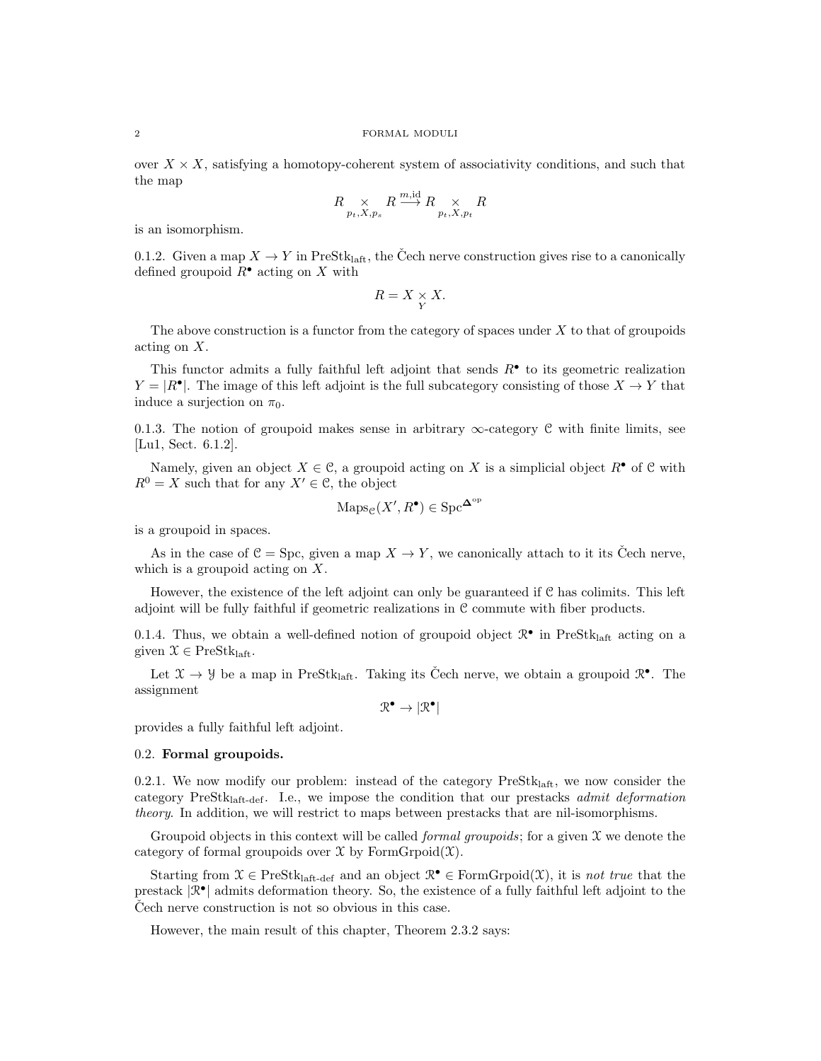over  $X \times X$ , satisfying a homotopy-coherent system of associativity conditions, and such that the map

$$
R \underset{p_t, X, p_s}{\times} R \overset{m, \text{id}}{\longrightarrow} R \underset{p_t, X, p_t}{\times} R
$$

is an isomorphism.

0.1.2. Given a map  $X \to Y$  in PreStk<sub>laft</sub>, the Čech nerve construction gives rise to a canonically defined groupoid  $R^{\bullet}$  acting on X with

$$
R = X \underset{Y}{\times} X.
$$

The above construction is a functor from the category of spaces under  $X$  to that of groupoids acting on X.

This functor admits a fully faithful left adjoint that sends  $R^{\bullet}$  to its geometric realization  $Y = |R^{\bullet}|$ . The image of this left adjoint is the full subcategory consisting of those  $X \to Y$  that induce a surjection on  $\pi_0$ .

0.1.3. The notion of groupoid makes sense in arbitrary  $\infty$ -category C with finite limits, see [Lu1, Sect. 6.1.2].

Namely, given an object  $X \in \mathcal{C}$ , a groupoid acting on X is a simplicial object  $R^{\bullet}$  of  $\mathcal{C}$  with  $R^0 = X$  such that for any  $X' \in \mathcal{C}$ , the object

$$
\mathrm{Maps}_{\mathcal{C}}(X', R^{\bullet}) \in \mathrm{Spc}^{\mathbf{\Delta}^{\mathrm{op}}}
$$

is a groupoid in spaces.

As in the case of  $C = \text{Spc}$ , given a map  $X \to Y$ , we canonically attach to it its Čech nerve, which is a groupoid acting on X.

However, the existence of the left adjoint can only be guaranteed if C has colimits. This left adjoint will be fully faithful if geometric realizations in C commute with fiber products.

0.1.4. Thus, we obtain a well-defined notion of groupoid object  $\mathbb{R}^{\bullet}$  in PreStk<sub>laft</sub> acting on a given  $\mathcal{X} \in \text{PreStk}_{\text{left}}$ .

Let  $\mathfrak{X} \to \mathfrak{Y}$  be a map in PreStk<sub>laft</sub>. Taking its Čech nerve, we obtain a groupoid  $\mathbb{R}^{\bullet}$ . The assignment

 $\mathbb{R}^{\bullet} \to |\mathbb{R}^{\bullet}|$ 

provides a fully faithful left adjoint.

#### 0.2. Formal groupoids.

0.2.1. We now modify our problem: instead of the category  $PreStk<sub>laff</sub>$ , we now consider the category PreStklaft-def. I.e., we impose the condition that our prestacks admit deformation theory. In addition, we will restrict to maps between prestacks that are nil-isomorphisms.

Groupoid objects in this context will be called *formal groupoids*; for a given  $\mathfrak X$  we denote the category of formal groupoids over  $\mathfrak X$  by FormGrpoid $(\mathfrak X)$ .

Starting from  $\mathcal{X} \in \text{PreStk}_{\text{left-def}}$  and an object  $\mathcal{R}^{\bullet} \in \text{FormG}{\text{rpoid}}(\mathcal{X})$ , it is *not true* that the prestack  $|\mathcal{R}^{\bullet}|$  admits deformation theory. So, the existence of a fully faithful left adjoint to the Cech nerve construction is not so obvious in this case.

However, the main result of this chapter, Theorem 2.3.2 says: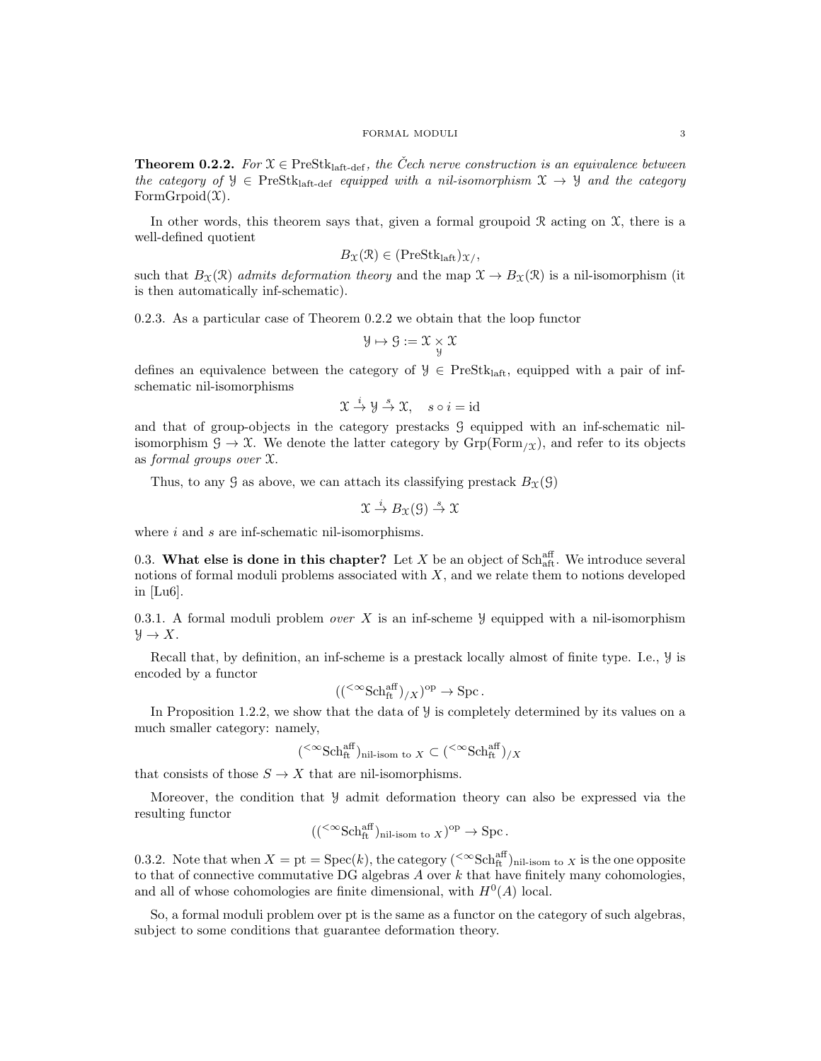**Theorem 0.2.2.** For  $\mathfrak{X} \in \text{PreStk}_{\text{laff-def}}$ , the Cech nerve construction is an equivalence between the category of  $\mathcal{Y} \in \text{PreStk}_{\text{laff-def}}$  equipped with a nil-isomorphism  $\mathcal{X} \to \mathcal{Y}$  and the category FormGrpoid $(\mathfrak{X})$ .

In other words, this theorem says that, given a formal groupoid  $\Re$  acting on  $\mathfrak{X}$ , there is a well-defined quotient

$$
B_{\mathfrak{X}}(\mathfrak{R}) \in (\text{PreStk}_{\text{laft}})_{\mathfrak{X}},
$$

such that  $B_{\mathfrak{X}}(\mathfrak{X})$  admits deformation theory and the map  $\mathfrak{X} \to B_{\mathfrak{X}}(\mathfrak{X})$  is a nil-isomorphism (it is then automatically inf-schematic).

0.2.3. As a particular case of Theorem 0.2.2 we obtain that the loop functor

$$
\mathcal{Y} \mapsto \mathcal{G} := \mathcal{X} \underset{\mathcal{Y}}{\times} \mathcal{X}
$$

defines an equivalence between the category of  $\mathcal{Y} \in \text{PreStk}_{\text{laff}}$ , equipped with a pair of infschematic nil-isomorphisms

$$
\mathfrak{X} \stackrel{i}{\to} \mathfrak{Y} \stackrel{s}{\to} \mathfrak{X}, \quad s \circ i = id
$$

and that of group-objects in the category prestacks G equipped with an inf-schematic nilisomorphism  $\mathcal{G} \to \mathcal{X}$ . We denote the latter category by  $\mathrm{Grp}(\mathrm{Form}_{\mathcal{X}})$ , and refer to its objects as formal groups over X.

Thus, to any  $\mathcal G$  as above, we can attach its classifying prestack  $B_\mathfrak{X}(\mathcal G)$ 

$$
\mathfrak{X} \stackrel{i}{\to} B_{\mathfrak{X}}(\mathfrak{G}) \stackrel{s}{\to} \mathfrak{X}
$$

where  $i$  and  $s$  are inf-schematic nil-isomorphisms.

0.3. What else is done in this chapter? Let X be an object of  $Sch_{\text{aff}}^{\text{aff}}$ . We introduce several notions of formal moduli problems associated with  $X$ , and we relate them to notions developed in [Lu6].

0.3.1. A formal moduli problem *over* X is an inf-scheme  $\mathcal Y$  equipped with a nil-isomorphism  $\mathcal{Y} \to X$ .

Recall that, by definition, an inf-scheme is a prestack locally almost of finite type. I.e., Y is encoded by a functor

$$
((<\infty Schftaff)/X)op \to Spc.
$$

In Proposition 1.2.2, we show that the data of  $\mathcal Y$  is completely determined by its values on a much smaller category: namely,

$$
(\mathbin{<}^{\infty}\text{Sch}^{\text{aff}}_{\text{ft}})_{\text{nil-isom to }X}\subset (\mathbin{<}^{\infty}\text{Sch}^{\text{aff}}_{\text{ft}})_{/X}
$$

that consists of those  $S \to X$  that are nil-isomorphisms.

Moreover, the condition that Y admit deformation theory can also be expressed via the resulting functor

$$
((\leq \infty \text{Sch}_{\text{ft}}^{\text{aff}})_{\text{nil-isom to } X})^{\text{op}} \to \text{Spc}.
$$

0.3.2. Note that when  $X = pt = \text{Spec}(k)$ , the category  $({}^{<\infty}\text{Sch}^{\text{aff}}_{\text{ft}})$ <sub>nil-isom to X</sub> is the one opposite to that of connective commutative DG algebras  $A$  over  $k$  that have finitely many cohomologies, and all of whose cohomologies are finite dimensional, with  $H^0(A)$  local.

So, a formal moduli problem over pt is the same as a functor on the category of such algebras, subject to some conditions that guarantee deformation theory.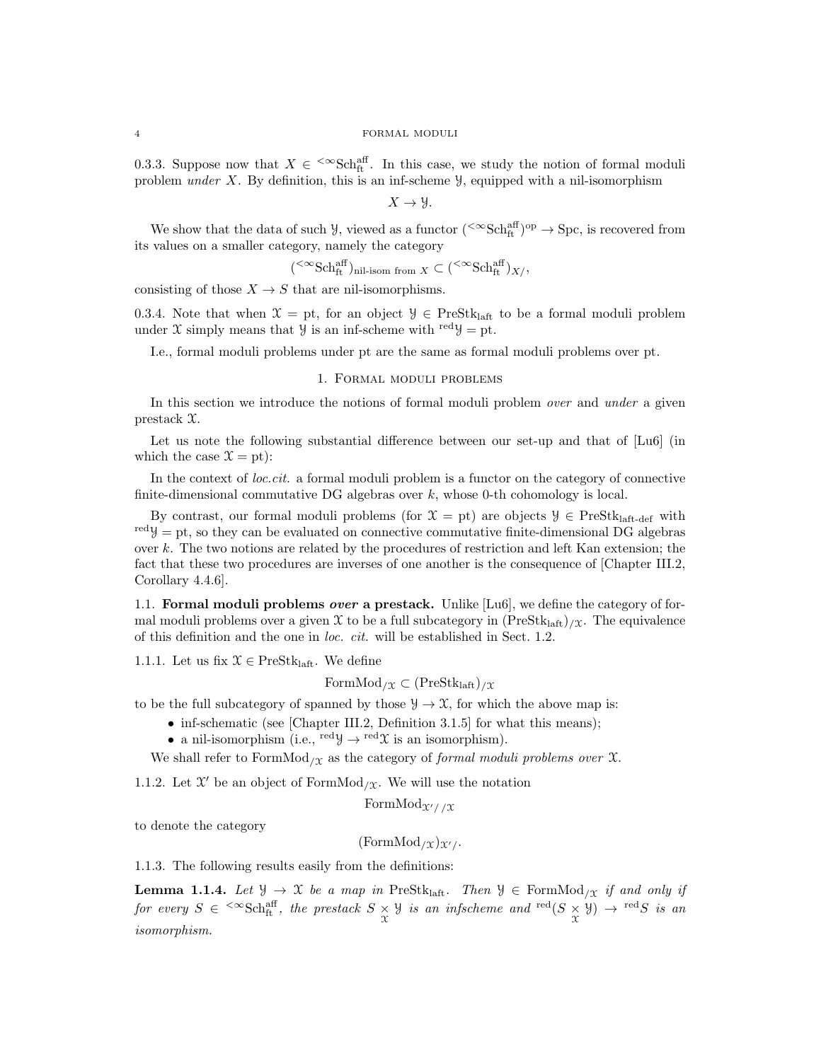0.3.3. Suppose now that  $X \in \text{. In this case, we study the notion of formal moduli$ problem under X. By definition, this is an inf-scheme  $\mathcal{Y}$ , equipped with a nil-isomorphism

 $X \to Y$ .

We show that the data of such  $\mathcal{Y}$ , viewed as a functor  $($ <sup> $\infty$ </sup>Sch<sup>aff</sup> $)$ <sup>op</sup>  $\rightarrow$  Spc, is recovered from its values on a smaller category, namely the category

$$
(\leq^{\infty} \text{Sch}^{\text{aff}}_{\text{ft}})_{\text{nil-isom from } X} \subset (\leq^{\infty} \text{Sch}^{\text{aff}}_{\text{ft}})_{X/}
$$

consisting of those  $X \to S$  that are nil-isomorphisms.

0.3.4. Note that when  $\mathcal{X} = \text{pt}$ , for an object  $\mathcal{Y} \in \text{PreStk}_{\text{laff}}$  to be a formal moduli problem under X simply means that  $\mathcal{Y}$  is an inf-scheme with red  $\mathcal{Y} = pt$ .

I.e., formal moduli problems under pt are the same as formal moduli problems over pt.

## 1. Formal moduli problems

In this section we introduce the notions of formal moduli problem *over* and *under* a given prestack X.

Let us note the following substantial difference between our set-up and that of  $[Lu6]$  (in which the case  $\mathfrak{X} = \text{pt}$ :

In the context of  $loc.cit.$  a formal moduli problem is a functor on the category of connective finite-dimensional commutative DG algebras over  $k$ , whose 0-th cohomology is local.

By contrast, our formal moduli problems (for  $\mathcal{X} = \text{pt}$ ) are objects  $\mathcal{Y} \in \text{PreStk}_{\text{left-def}}$  with  $r^{\text{ed}}y = \text{pt}$ , so they can be evaluated on connective commutative finite-dimensional DG algebras over  $k$ . The two notions are related by the procedures of restriction and left Kan extension; the fact that these two procedures are inverses of one another is the consequence of [Chapter III.2, Corollary 4.4.6].

1.1. Formal moduli problems over a prestack. Unlike [Lu6], we define the category of formal moduli problems over a given X to be a full subcategory in  $(PreStk<sub>latt</sub>)_{\mathcal{X}}$ . The equivalence of this definition and the one in loc. cit. will be established in Sect. 1.2.

1.1.1. Let us fix  $\mathcal{X} \in \text{PreStk}_{\text{laff}}$ . We define

$$
\mathrm{FormMod}_{/\mathfrak{X}} \subset (\mathrm{PreStk}_{\mathrm{laft}})_{/\mathfrak{X}}
$$

to be the full subcategory of spanned by those  $\mathcal{Y} \to \mathcal{X}$ , for which the above map is:

- inf-schematic (see [Chapter III.2, Definition 3.1.5] for what this means);
- a nil-isomorphism (i.e.,  $\text{red}y \rightarrow \text{red}x$  is an isomorphism).

We shall refer to FormMod<sub>/X</sub> as the category of *formal moduli problems over*  $X$ .

1.1.2. Let  $\mathfrak{X}'$  be an object of FormMod<sub>/ $\mathfrak{X}$ </sub>. We will use the notation

FormMod $\chi$ // $\chi$ 

to denote the category

 $(FormMod_{/\mathfrak{X}})_{\mathfrak{X}'}/.$ 

1.1.3. The following results easily from the definitions:

**Lemma 1.1.4.** Let  $\mathcal{Y} \to \mathcal{X}$  be a map in PreStk<sub>laft</sub>. Then  $\mathcal{Y} \in \text{FormMod}_{/\mathcal{X}}$  if and only if for every  $S \in \text{``Schtt^\text{aff}, the prestack } S \times \text{''}$  is an infscheme and  $\text{^{red}}(S \times \text{''}) \rightarrow \text{^{red}}S$  is an isomorphism.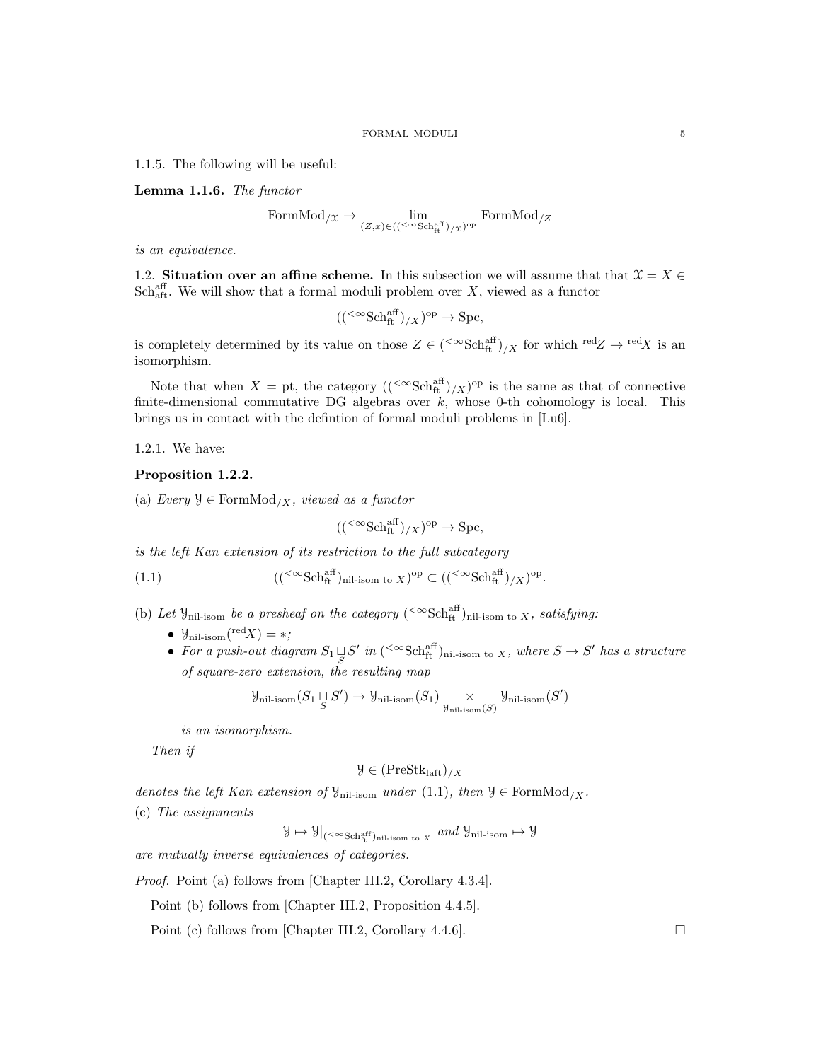1.1.5. The following will be useful:

Lemma 1.1.6. The functor

FormMod
$$
\chi \to \lim_{(Z,x)\in ((\leq \infty \text{Sch}_{\text{ft}}^{\text{aff}})/X)^{\text{op}}}
$$
 FormMod $\chi$ 

is an equivalence.

1.2. Situation over an affine scheme. In this subsection we will assume that that  $\mathcal{X} = X \in$  $\text{Sch}^{\text{aff}}_{\text{aff}}$ . We will show that a formal moduli problem over X, viewed as a functor

$$
(({}^{<\infty} {\rm Sch}_{\rm ft}^{\rm aff})_{/X})^{\rm op} \to {\rm Spc},
$$

is completely determined by its value on those  $Z \in ({}^{<\infty} {\rm Sch}_{\rm ft}^{\rm aff})/X$  for which  ${}^{\rm red}Z \to {}^{\rm red}X$  is an isomorphism.

Note that when  $X =$  pt, the category  $((\text{& } \mathcal{S}ch_{ft}^{\text{aff}})_{/X})^{\text{op}}$  is the same as that of connective finite-dimensional commutative DG algebras over  $k$ , whose 0-th cohomology is local. This brings us in contact with the defintion of formal moduli problems in [Lu6].

1.2.1. We have:

## Proposition 1.2.2.

(a) Every  $\mathcal{Y} \in \text{FormMod}_{/X}$ , viewed as a functor

$$
(({}^{<\infty} {\rm Sch}^{\rm aff}_{\rm ft})_{/X})^{\rm op} \to {\rm Spc},
$$

is the left Kan extension of its restriction to the full subcategory

(1.1) 
$$
(({\infty}Sch_{ft}^{aff})_{nil\text{-isom to }X})^{op} \subset (({\infty}Sch_{ft}^{aff})_{/X})^{op}.
$$

- (b) Let  $\mathcal{Y}_{\text{nil-isom}}$  be a presheaf on the category (<sup>< $\infty$ </sup>Sch<sup>aff</sup>)<sub>nil-isom to X</sub>, satisfying:
	- $\mathcal{Y}_{\text{nil-isom}}({\text{red}}X) = *,$
	- For a push-out diagram  $S_1 \sqcup_S S'$  in  $\left( \infty {\rm Sch}_{\rm ft}^{\rm aff} \right)$ <sub>nil-isom to X, where  $S \to S'$  has a structure</sub> of square-zero extension, the resulting map

$$
\mathcal{Y}_{\text{nil-isom}}(S_1 \underset{S}{\sqcup} S') \to \mathcal{Y}_{\text{nil-isom}}(S_1) \underset{\mathcal{Y}_{\text{nil-isom}}(S)}{\times} \mathcal{Y}_{\text{nil-isom}}(S')
$$

is an isomorphism.

Then if

$$
\mathcal{Y} \in (\text{PreStk}_{\text{laft}})_{/X}
$$

denotes the left Kan extension of  $\mathcal{Y}_{\text{nil-isom}}$  under (1.1), then  $\mathcal{Y} \in \text{FormMod}_{/X}$ .

(c) The assignments

 $\mathcal{Y} \mapsto \mathcal{Y}\vert_{(<\infty \text{Sch}^{\text{aff}}_{\text{ft}})_{\text{nil-isom to }X}} \text{ and } \mathcal{Y}_{\text{nil-isom}} \mapsto \mathcal{Y}$ 

are mutually inverse equivalences of categories.

Proof. Point (a) follows from [Chapter III.2, Corollary 4.3.4].

Point (b) follows from [Chapter III.2, Proposition 4.4.5].

Point (c) follows from [Chapter III.2, Corollary 4.4.6].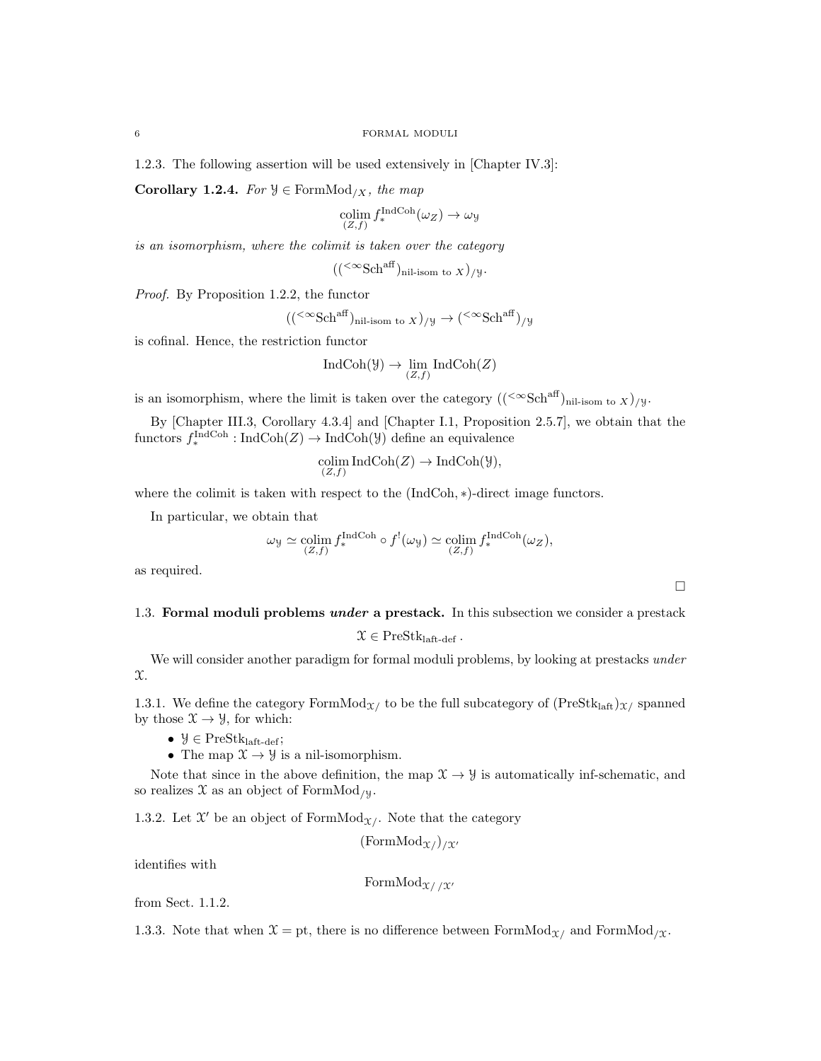1.2.3. The following assertion will be used extensively in [Chapter IV.3]:

Corollary 1.2.4. For  $\mathcal{Y} \in \text{FormMod}_{/X}$ , the map

$$
\operatorname*{colim}_{(Z,f)} f_*^{\operatorname{IndCoh}}(\omega_Z) \to \omega_{\mathcal{Y}}
$$

is an isomorphism, where the colimit is taken over the category

$$
((<^{\infty} \text{Sch}^{\text{aff}})_{\text{nil-isom to } X})_{/\mathcal{Y}}.
$$

Proof. By Proposition 1.2.2, the functor

$$
((\leq \infty \text{Sch}^{\text{aff}})_{\text{nil-isom to } X})_{/\mathcal{Y}} \to (\leq \infty \text{Sch}^{\text{aff}})_{/\mathcal{Y}}
$$

is cofinal. Hence, the restriction functor

$$
IndCoh(\mathcal{Y}) \to \lim_{(Z,f)} IndCoh(Z)
$$

is an isomorphism, where the limit is taken over the category  $((\leq \text{Sch}^{\text{aff}})_{\text{nil-isom to } X})/y$ .

By [Chapter III.3, Corollary 4.3.4] and [Chapter I.1, Proposition 2.5.7], we obtain that the functors  $f_*^{\text{IndCoh}}: \text{IndCoh}(Z) \to \text{IndCoh}(\mathcal{Y})$  define an equivalence

$$
\operatornamewithlimits{colim}_{(Z,f)}\operatorname{IndCoh}(Z)\to\operatorname{IndCoh}(\mathcal Y),
$$

where the colimit is taken with respect to the  $(IndCoh, *)$ -direct image functors.

In particular, we obtain that

$$
\omega_{\mathcal{Y}} \simeq \underset{(Z,f)}{\text{colim}} f_*^{\text{IndCoh}} \circ f^!(\omega_{\mathcal{Y}}) \simeq \underset{(Z,f)}{\text{colim}} f_*^{\text{IndCoh}}(\omega_Z),
$$

as required.

## 1.3. Formal moduli problems *under* a prestack. In this subsection we consider a prestack

 $\mathcal{X} \in \text{PreStk}_{\text{laft-def}}$ .

We will consider another paradigm for formal moduli problems, by looking at prestacks *under*  $\mathfrak{X}.$ 

1.3.1. We define the category  $FormMod_{\mathcal{X}}/$  to be the full subcategory of  $(PreStk<sub>latt</sub>)_{\mathcal{X}}/$  spanned by those  $\mathfrak{X} \to \mathfrak{Y}$ , for which:

- $\mathcal{Y} \in \text{PreStk}_{\text{laft-def}};$
- The map  $\mathfrak{X} \to \mathfrak{Y}$  is a nil-isomorphism.

Note that since in the above definition, the map  $\mathcal{X} \to \mathcal{Y}$  is automatically inf-schematic, and so realizes  $\mathfrak X$  as an object of FormMod<sub>/y</sub>.

1.3.2. Let  $\mathfrak{X}'$  be an object of FormMod<sub> $\mathfrak{X}'$ </sub>. Note that the category

$$
(\mathrm{FormMod}_{\mathfrak{X}}_1)_{/\mathfrak{X}}
$$

identifies with

```
FormMod_{\mathfrak{X}/\mathfrak{X}'}
```
from Sect. 1.1.2.

1.3.3. Note that when  $\mathfrak{X} = \text{pt}$ , there is no difference between FormMod<sub> $\chi$ </sub> and FormMod<sub> $\chi$ </sub>.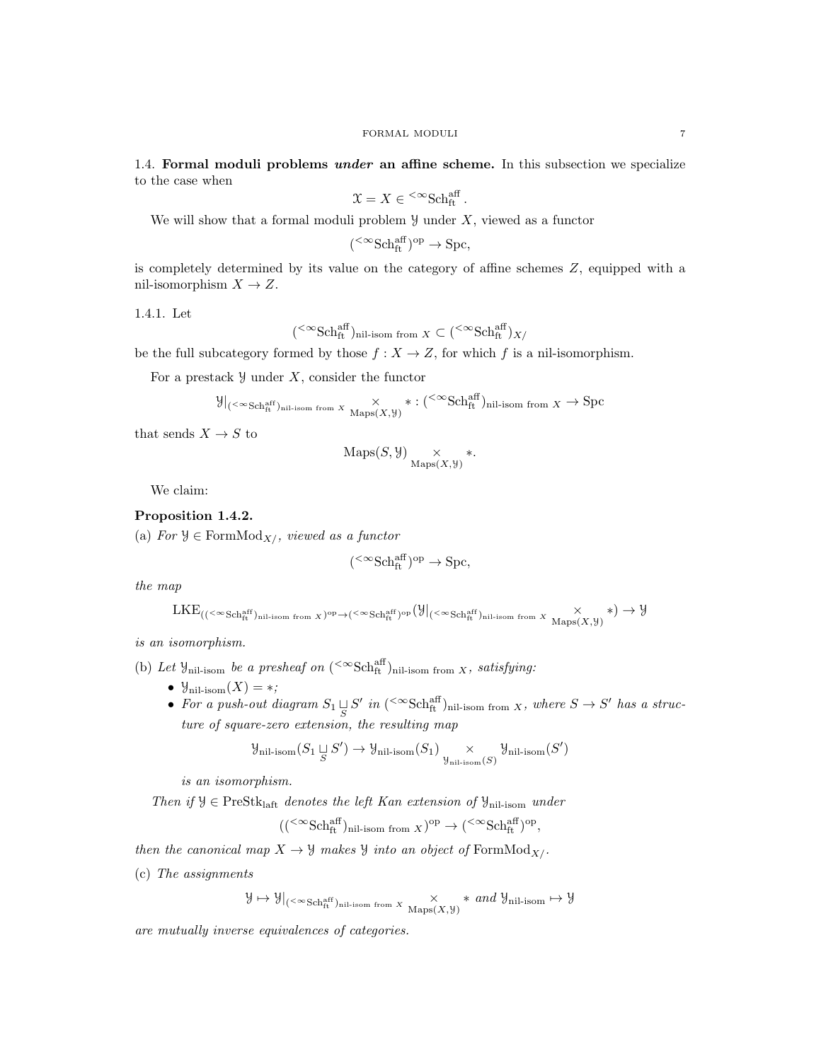1.4. Formal moduli problems *under* an affine scheme. In this subsection we specialize to the case when

$$
\mathfrak{X} = X \in {}^{<\infty} {\rm Sch}^{\rm aff}_{\rm ft}.
$$

We will show that a formal moduli problem  $\mathcal Y$  under X, viewed as a functor

$$
({}^{<\infty}{\rm Sch}^{{\rm aff}}_{\rm ft})^{\rm op} \to {\rm Spc},
$$

is completely determined by its value on the category of affine schemes Z, equipped with a nil-isomorphism  $X \to Z$ .

1.4.1. Let

$$
(\mathbin{<}^{\infty}\text{Sch}^{\text{aff}}_{\text{ft}})_{\text{nil-isom from }X}\subset (\mathbin{<}^{\infty}\text{Sch}^{\text{aff}}_{\text{ft}})_{X/}
$$

be the full subcategory formed by those  $f : X \to Z$ , for which f is a nil-isomorphism.

For a prestack  $\mathcal{Y}$  under X, consider the functor

$$
\mathcal{Y}|_{(< \infty \text{Sch}^{\text{aff}}_{\text{ft}})_{\text{nil-isom from } X}} \times_{\text{Maps}(X, \mathcal{Y})} * : (< \infty \text{Sch}^{\text{aff}}_{\text{ft}})_{\text{nil-isom from } X} \to \text{Spc}
$$

that sends  $X \to S$  to

$$
\mathrm{Maps}(S, \mathcal{Y}) \underset{\mathrm{Maps}(X, \mathcal{Y})}{\times} *.
$$

We claim:

## Proposition 1.4.2.

(a) For  $\mathcal{Y} \in \text{FormMod}_{X/}$ , viewed as a functor

$$
({}^{<\infty}{\rm Sch}^{{\rm aff}}_{\rm ft})^{\rm op} \to {\rm Spc},
$$

the map

$$
\mathrm{LKE}_{((<^{\infty}\mathrm{Sch}^{\mathrm{aff}}_{\mathrm{ft}})_{\mathrm{nil-isom\ from\ } X})^{\mathrm{op}} \rightarrow (<^{\infty}\mathrm{Sch}^{\mathrm{aff}}_{\mathrm{ft}})_{\mathrm{op}}(\mathcal{Y}|_{(<^{\infty}\mathrm{Sch}^{\mathrm{aff}}_{\mathrm{ft}})_{\mathrm{nil-isom\ from\ } X}}\times\underset{\mathrm{Maps}(X,\mathcal{Y})}{\times}) \rightarrow \mathcal{Y}
$$

is an isomorphism.

(b) Let  $\mathcal{Y}_{\text{nil-isom}}$  be a presheaf on  $(\text{``Sch}^{\text{aff}}_{\text{ft}})_{\text{nil-isom from }X}$ , satisfying:

- $\mathcal{Y}_{\text{nil-isom}}(X) = *,$
- For a push-out diagram  $S_1 \sqcup_S S'$  in  $({}^{<\infty} {\rm Sch}_{\rm ft}^{{\rm aff}})_{\rm nil-isom \ from}$  x, where  $S \to S'$  has a structure of square-zero extension, the resulting map

$$
\mathcal{Y}_{\text{nil-isom}}(S_1 \underset{S}{\sqcup} S') \to \mathcal{Y}_{\text{nil-isom}}(S_1) \underset{\mathcal{Y}_{\text{nil-isom}}(S)}{\times} \mathcal{Y}_{\text{nil-isom}}(S')
$$

is an isomorphism.

Then if  $\mathcal{Y} \in \text{PreStk}_{\text{left}}$  denotes the left Kan extension of  $\mathcal{Y}_{\text{nil-isom}}$  under

$$
((\leq \infty \text{Sch}_{\text{ft}}^{\text{aff}})_{\text{nil-isom from } X})^{\text{op}} \to (\leq \infty \text{Sch}_{\text{ft}}^{\text{aff}})^{\text{op}},
$$

then the canonical map  $X \to Y$  makes  $Y$  into an object of FormMod<sub>X/</sub>.

(c) The assignments

$$
\mathcal{Y} \mapsto \mathcal{Y}|_{(<^{\infty}Sch^{\mathrm{aff}}_{\mathrm{ft}})_{\mathrm{nil-isom\ from\ }X}} \times \mathcal{X} \ast \text{ and } \mathcal{Y}_{\mathrm{nil-isom}} \mapsto \mathcal{Y}
$$

are mutually inverse equivalences of categories.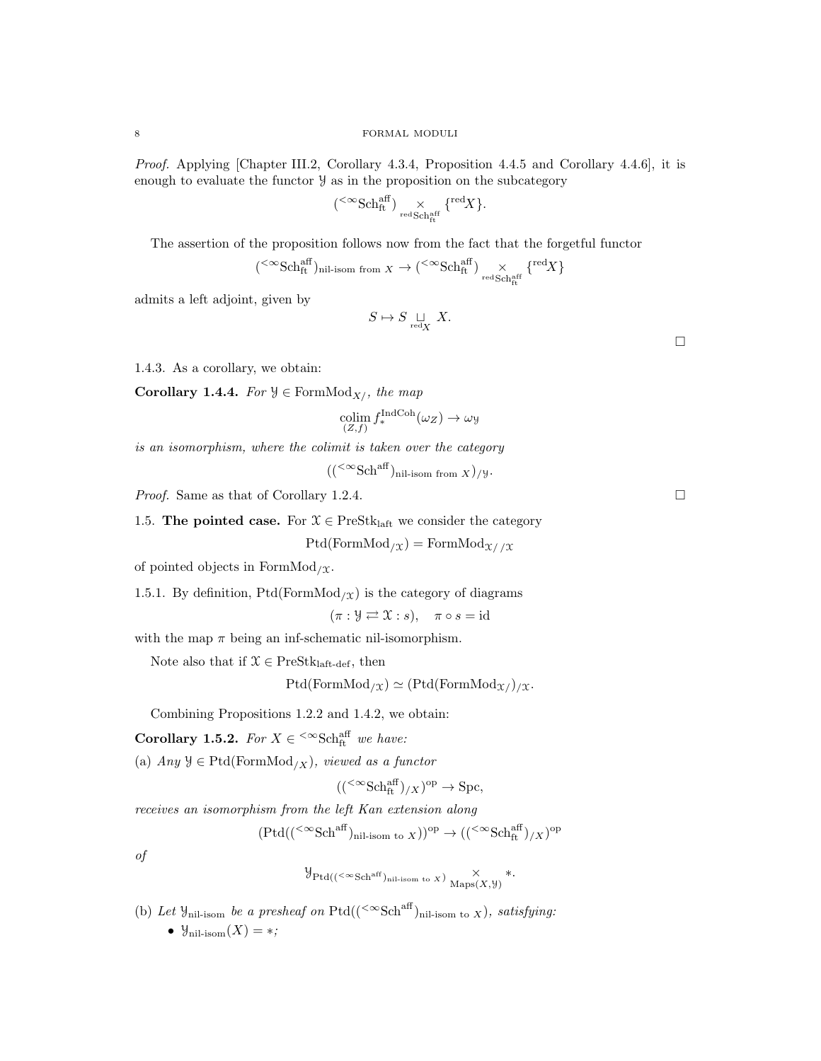Proof. Applying [Chapter III.2, Corollary 4.3.4, Proposition 4.4.5 and Corollary 4.4.6], it is enough to evaluate the functor  $\mathcal Y$  as in the proposition on the subcategory

$$
({}^{<\infty}\mathrm{Sch}^{\mathrm{aff}}_{\mathrm{ft}}) \underset{\mathrm{red}\, \mathrm{Sch}^{\mathrm{aff}}_{\mathrm{ft}}}{\times} \{{}^{\mathrm{red}}X\}.
$$

The assertion of the proposition follows now from the fact that the forgetful functor

$$
({}^{<\infty}\text{Sch}^{\text{aff}}_{\text{ft}})_{\text{nil-isom from }X}\to ({}^{<\infty}\text{Sch}^{\text{aff}}_{\text{ft}}) \underset{\text{redSch}^{\text{aff}}_{\text{Sth}^{\text{aff}}_{\text{ft}}}}{\times} \{{}^{\text{red}}X\}
$$

admits a left adjoint, given by

$$
S \mapsto S \mathop{\sqcup}\limits_{\mathrm{red} X} \ X.
$$

1.4.3. As a corollary, we obtain:

Corollary 1.4.4. For  $\mathcal{Y} \in \text{FormMod}_{X/}$ , the map

$$
\operatornamewithlimits{colim}_{(Z,f)}f_*^{\operatorname{IndCoh}}(\omega_Z)\to \omega_{\mathcal Y}
$$

is an isomorphism, where the colimit is taken over the category

 $((<sup><\infty</sup>Sch<sup>aff</sup>)<sub>nil-isom from X</sub>)$ /y.

*Proof.* Same as that of Corollary 1.2.4.

1.5. The pointed case. For  $\mathcal{X} \in \mathrm{PreStk}_{\mathrm{laff}}$  we consider the category

 $Ptd(FormMod_{\chi}) = FormMod_{\chi}/\chi$ 

of pointed objects in FormMod<sub>/ $\chi$ </sub>.

1.5.1. By definition,  $Ptd(FormMod<sub>/X</sub>)$  is the category of diagrams

 $(\pi : \mathcal{Y} \rightleftarrows \mathcal{X} : s), \quad \pi \circ s = id$ 

with the map  $\pi$  being an inf-schematic nil-isomorphism.

Note also that if  $\mathcal{X} \in \text{PreStk}_{\text{laft-def}}$ , then

 $Ptd(FormMod_{/X}) \simeq (Ptd(FormMod_{X/})_{/X}.$ 

Combining Propositions 1.2.2 and 1.4.2, we obtain:

Corollary 1.5.2. For  $X \in \text{<sup>def</sup>sech}^{aff}$  we have:

(a) Any  $\mathcal{Y} \in \text{Ptd}(\text{FormMod}_{/X})$ , viewed as a functor

$$
(({}^{<\infty} {\rm Sch}_{\rm ft}^{\rm aff})_{/X})^{\rm op} \to {\rm Spc},
$$

receives an isomorphism from the left Kan extension along

$$
(\mathrm{Ptd}(({}^{<\infty}\mathrm{Sch}^{\mathrm{aff}})_{\mathrm{nil\text{-}isom to}\ X}))^\mathrm{op}\to (({}^{<\infty}\mathrm{Sch}^{\mathrm{aff}}_{\mathrm{ft}})_{/X})^\mathrm{op}
$$

of

$$
\mathcal{Y}_{\mathrm{Ptd}((<\infty \mathrm{Sch}^{\mathrm{aff}})_{\mathrm{nil-isom \ to \ X}})} \underset{\mathrm{Maps}(X,\mathcal{Y})}{\times} *.
$$

(b) Let  $\mathcal{Y}_{\text{nil-isom}}$  be a presheaf on Ptd((<sup>< $\infty$ </sup>Sch<sup>aff</sup>)<sub>nil-isom to X</sub>), satisfying: •  $\mathcal{Y}_{\text{nil-isom}}(X) = *;$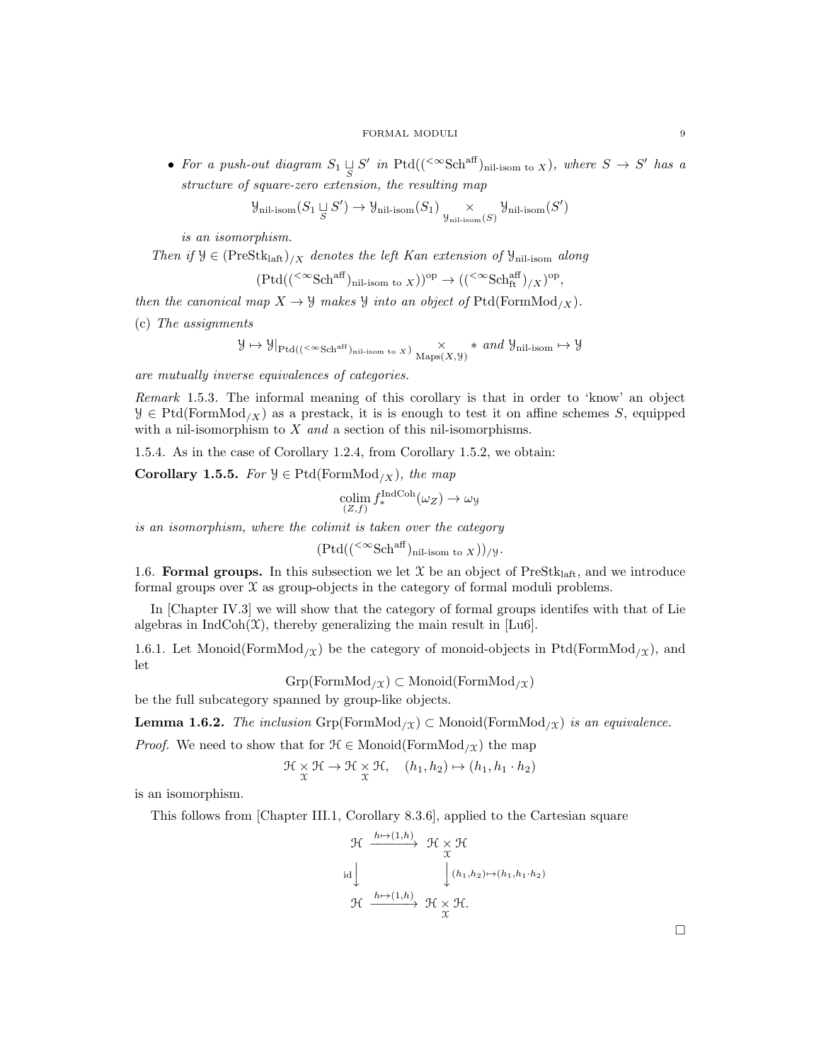• For a push-out diagram  $S_1 \sqcup S'$  in Ptd((<sup> $<\infty$ </sup>Sch<sup>aff</sup>)<sub>nil-isom to X</sub>), where  $S \to S'$  has a structure of square-zero extension, the resulting map

$$
\mathcal{Y}_{\text{nil-isom}}(S_1\mathop{\cup}\limits_S S') \to \mathcal{Y}_{\text{nil-isom}}(S_1)\mathop{\times}\limits_{\mathcal{Y}_{\text{nil-isom}}(S)}\mathcal{Y}_{\text{nil-isom}}(S')
$$

is an isomorphism.

Then if  $\mathcal{Y} \in (\text{PreStk}_{\text{laff}})_{/X}$  denotes the left Kan extension of  $\mathcal{Y}_{\text{nil-isom}}$  along

$$
(\mathrm{Ptd}(({}^{<\infty}\mathrm{Sch}^{\mathrm{aff}})_{\mathrm{nil-isom \ to \ X}}))^{\mathrm{op}} \to (({}^{<\infty}\mathrm{Sch}^{\mathrm{aff}}_{\mathrm{ft}})_{/X})^{\mathrm{op}},
$$

then the canonical map  $X \to Y$  makes  $Y$  into an object of  $Ptd(FormMod_{/X})$ .

(c) The assignments

$$
\mathcal{Y}\mapsto \mathcal{Y}|_{{\rm Ptd}((<\infty {\rm Sch}^{{\rm aff}})_{\rm nil-isom\ to\ X})}\times\underset{{\rm Maps}(X,\mathcal{Y})}{\times}\ast\ and\ \mathcal{Y}_{\rm nil-isom}\mapsto \mathcal{Y}
$$

are mutually inverse equivalences of categories.

Remark 1.5.3. The informal meaning of this corollary is that in order to 'know' an object  $\mathcal{Y} \in \text{Ptd}(\text{FormMod}_{X})$  as a prestack, it is is enough to test it on affine schemes S, equipped with a nil-isomorphism to  $X$  and a section of this nil-isomorphisms.

1.5.4. As in the case of Corollary 1.2.4, from Corollary 1.5.2, we obtain:

Corollary 1.5.5. For  $\mathcal{Y} \in \text{Ptd}(\text{FormMod}_{/X})$ , the map

$$
\operatorname*{colim}_{(Z,f)} f_*^{\operatorname{IndCoh}}(\omega_Z) \to \omega_{\mathcal{Y}}
$$

is an isomorphism, where the colimit is taken over the category

$$
(\text{Ptd}((\leq \infty \text{Sch}^{\text{aff}})_{\text{nil-isom to } X}))_{/\mathcal{Y}}.
$$

1.6. Formal groups. In this subsection we let  $\mathcal X$  be an object of PreStk<sub>laft</sub>, and we introduce formal groups over  $\mathfrak X$  as group-objects in the category of formal moduli problems.

In [Chapter IV.3] we will show that the category of formal groups identifes with that of Lie algebras in  $IndCoh(\mathfrak{X})$ , thereby generalizing the main result in [Lu6].

1.6.1. Let Monoid(FormMod<sub>/X</sub>) be the category of monoid-objects in Ptd(FormMod<sub>/X</sub>), and let

 $Grp(FormMod<sub>/X</sub>) \subset Monoid(FormMod<sub>/X</sub>)$ 

be the full subcategory spanned by group-like objects.

**Lemma 1.6.2.** The inclusion  $\text{Grp}(\text{FormMod}_X) \subset \text{Monoid}(\text{FormMod}_X)$  is an equivalence.

*Proof.* We need to show that for  $\mathcal{H} \in \text{Monoid}(\text{FormMod}_{/\mathfrak{X}})$  the map

$$
\mathcal{H} \underset{\mathcal{X}}{\times} \mathcal{H} \to \mathcal{H} \underset{\mathcal{X}}{\times} \mathcal{H}, \quad (h_1, h_2) \mapsto (h_1, h_1 \cdot h_2)
$$

is an isomorphism.

This follows from [Chapter III.1, Corollary 8.3.6], applied to the Cartesian square  $k \rightarrow (1, k)$ 

$$
\begin{array}{ccc}\n\mathfrak{H} & \xrightarrow{h \mapsto (1,h)} & \mathfrak{H} \times \mathfrak{H} \\
\downarrow & & \downarrow (h_1, h_2) \mapsto (h_1, h_1 \cdot h_2) \\
\mathfrak{H} & & \downarrow (h_1, h_2) \mapsto (h_1, h_1 \cdot h_2) \\
\mathfrak{H} & \xrightarrow{h \mapsto (1,h)} & \mathfrak{H} \times \mathfrak{H}.\n\end{array}
$$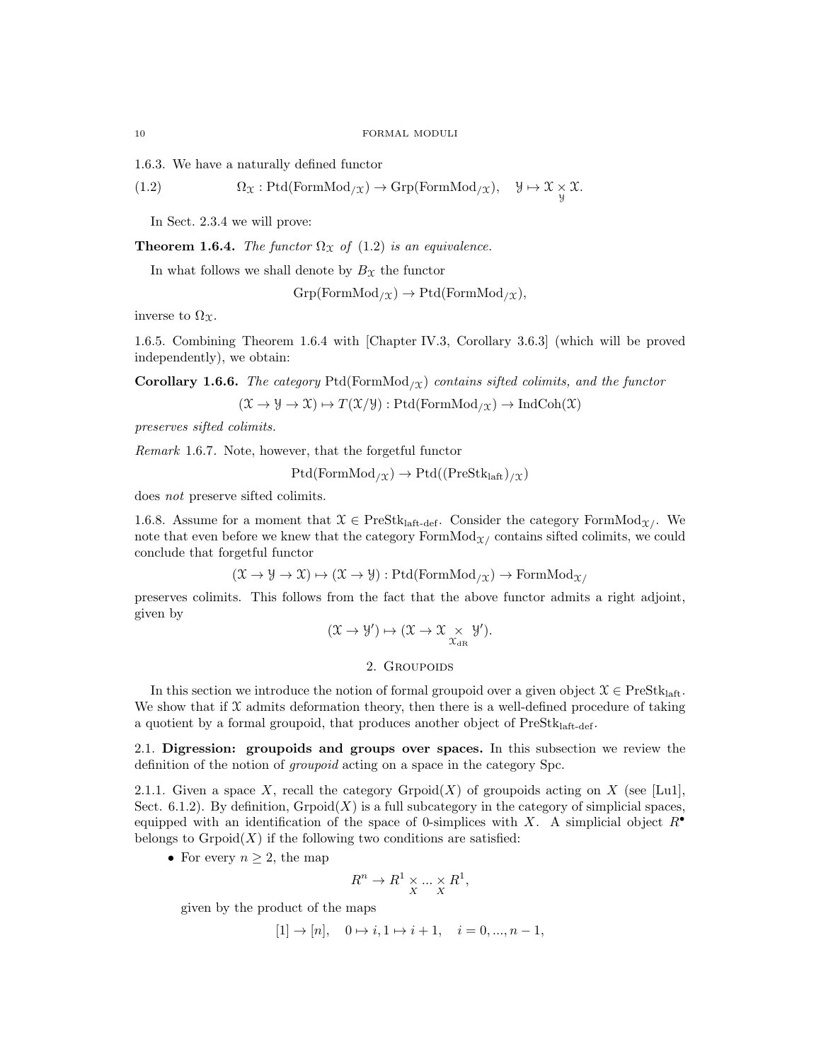1.6.3. We have a naturally defined functor

(1.2) 
$$
\Omega_{\mathfrak{X}}: \mathrm{Ptd}(\mathrm{FormMod}_{/\mathfrak{X}}) \to \mathrm{Grp}(\mathrm{FormMod}_{/\mathfrak{X}}), \quad \mathcal{Y} \mapsto \mathcal{X} \underset{\mathcal{Y}}{\times} \mathcal{X}.
$$

In Sect. 2.3.4 we will prove:

**Theorem 1.6.4.** The functor  $\Omega_{\mathcal{X}}$  of (1.2) is an equivalence.

In what follows we shall denote by  $B_{\mathfrak{X}}$  the functor

 $Grp(FormMod<sub>/X</sub>) \rightarrow Ptd(FormMod<sub>/X</sub>),$ 

inverse to  $\Omega_{\mathfrak{X}}$ .

1.6.5. Combining Theorem 1.6.4 with [Chapter IV.3, Corollary 3.6.3] (which will be proved independently), we obtain:

**Corollary 1.6.6.** The category Ptd(FormMod<sub>/X</sub>) contains sifted colimits, and the functor

$$
(\mathfrak{X} \to \mathfrak{Y} \to \mathfrak{X}) \mapsto T(\mathfrak{X}/\mathfrak{Y}): \mathrm{Ptd}(\mathrm{FormMod}_{/\mathfrak{X}}) \to \mathrm{IndCoh}(\mathfrak{X})
$$

preserves sifted colimits.

Remark 1.6.7. Note, however, that the forgetful functor

 $Ptd(FormMod_{/\mathfrak{X}}) \rightarrow Ptd((PreStk<sub>laff</sub>)_{/\mathfrak{X}})$ 

does not preserve sifted colimits.

1.6.8. Assume for a moment that  $\mathcal{X} \in \text{PreStk}_{\text{laff-def}}$ . Consider the category FormMod<sub> $\chi$ </sub>. We note that even before we knew that the category  $FormMod_{\mathcal{X}}$  contains sifted colimits, we could conclude that forgetful functor

$$
(\mathfrak{X} \to \mathfrak{Y} \to \mathfrak{X}) \mapsto (\mathfrak{X} \to \mathfrak{Y}) : \mathrm{Ptd}(\mathrm{FormMod}_{/\mathfrak{X}}) \to \mathrm{FormMod}_{\mathfrak{X}/}
$$

preserves colimits. This follows from the fact that the above functor admits a right adjoint, given by

$$
(\mathfrak{X}\rightarrow \mathcal{Y}')\mapsto (\mathfrak{X}\rightarrow \mathfrak{X}\underset{\mathfrak{X}_{\mathrm{dR}}}{\times}\mathcal{Y}').
$$

2. Groupoids

In this section we introduce the notion of formal groupoid over a given object  $\mathcal{X} \in \text{PreStk}_{\text{laff}}$ . We show that if  $\mathfrak X$  admits deformation theory, then there is a well-defined procedure of taking a quotient by a formal groupoid, that produces another object of  $PreStk<sub>laff-def</sub>$ .

2.1. Digression: groupoids and groups over spaces. In this subsection we review the definition of the notion of groupoid acting on a space in the category Spc.

2.1.1. Given a space X, recall the category Grpoid(X) of groupoids acting on X (see [Lu1], Sect. 6.1.2). By definition,  $G_{\text{rpoid}}(X)$  is a full subcategory in the category of simplicial spaces, equipped with an identification of the space of 0-simplices with X. A simplicial object  $R^{\bullet}$ belongs to  $G_{\text{r}}(X)$  if the following two conditions are satisfied:

• For every  $n \geq 2$ , the map

$$
R^n \to R^1 \times_{X} \dots \times_{X} R^1,
$$

given by the product of the maps

$$
[1] \rightarrow [n], \quad 0 \rightarrow i, 1 \rightarrow i+1, \quad i = 0, ..., n-1,
$$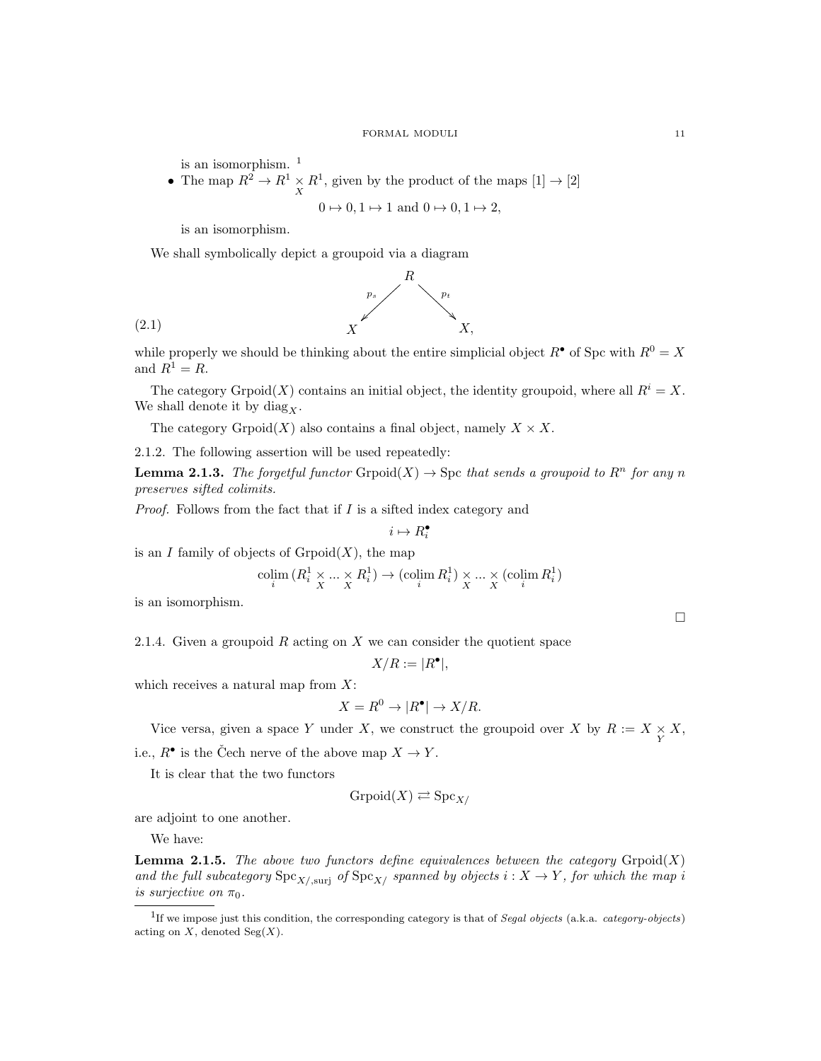is an isomorphism. <sup>1</sup>

• The map  $R^2 \to R^1 \times R^1$ , given by the product of the maps  $[1] \to [2]$ 

$$
0 \mapsto 0, 1 \mapsto 1
$$
 and  $0 \mapsto 0, 1 \mapsto 2$ ,

is an isomorphism.

We shall symbolically depict a groupoid via a diagram



while properly we should be thinking about the entire simplicial object  $R^{\bullet}$  of Spc with  $R^0 = X$ and  $R^1 = R$ .

The category Grpoid $(X)$  contains an initial object, the identity groupoid, where all  $R^i = X$ . We shall denote it by diag $_X$ .

The category Grpoid $(X)$  also contains a final object, namely  $X \times X$ .

2.1.2. The following assertion will be used repeatedly:

**Lemma 2.1.3.** The forgetful functor  $G_{\text{P}}(X) \to \text{Spc}$  that sends a groupoid to  $R^n$  for any n preserves sifted colimits.

Proof. Follows from the fact that if I is a sifted index category and

$$
i\mapsto R_i^\bullet
$$

is an I family of objects of  $G_{\text{r}(\mathbb{X})}$ , the map

$$
\operatornamewithlimits{colim}_i \, (R^1_i \times \ldots \times \limits_X R^1_i) \to (\operatornamewithlimits{colim}_i \, R^1_i) \times \ldots \times \limits_X (\operatornamewithlimits{colim}_i \, R^1_i)
$$

is an isomorphism.

2.1.4. Given a groupoid  $R$  acting on  $X$  we can consider the quotient space

$$
X/R := |R^{\bullet}|,
$$

which receives a natural map from  $X$ :

$$
X = R^0 \to |R^{\bullet}| \to X/R.
$$

Vice versa, given a space Y under X, we construct the groupoid over X by  $R := X \underset{Y}{\times} X$ , i.e.,  $R^{\bullet}$  is the Čech nerve of the above map  $X \to Y$ .

It is clear that the two functors

$$
\mathrm{Grpoid}(X) \rightleftarrows \mathrm{Spc}_{X/}
$$

are adjoint to one another.

We have:

**Lemma 2.1.5.** The above two functors define equivalences between the category  $\text{Gropoid}(X)$ and the full subcategory  $\text{Spc}_{X/\text{suri}}$  of  $\text{Spc}_{X/\text{span}}$  spanned by objects  $i: X \to Y$ , for which the map i is surjective on  $\pi_0$ .

<sup>1</sup>If we impose just this condition, the corresponding category is that of Segal objects (a.k.a. category-objects) acting on  $X$ , denoted  $Seg(X)$ .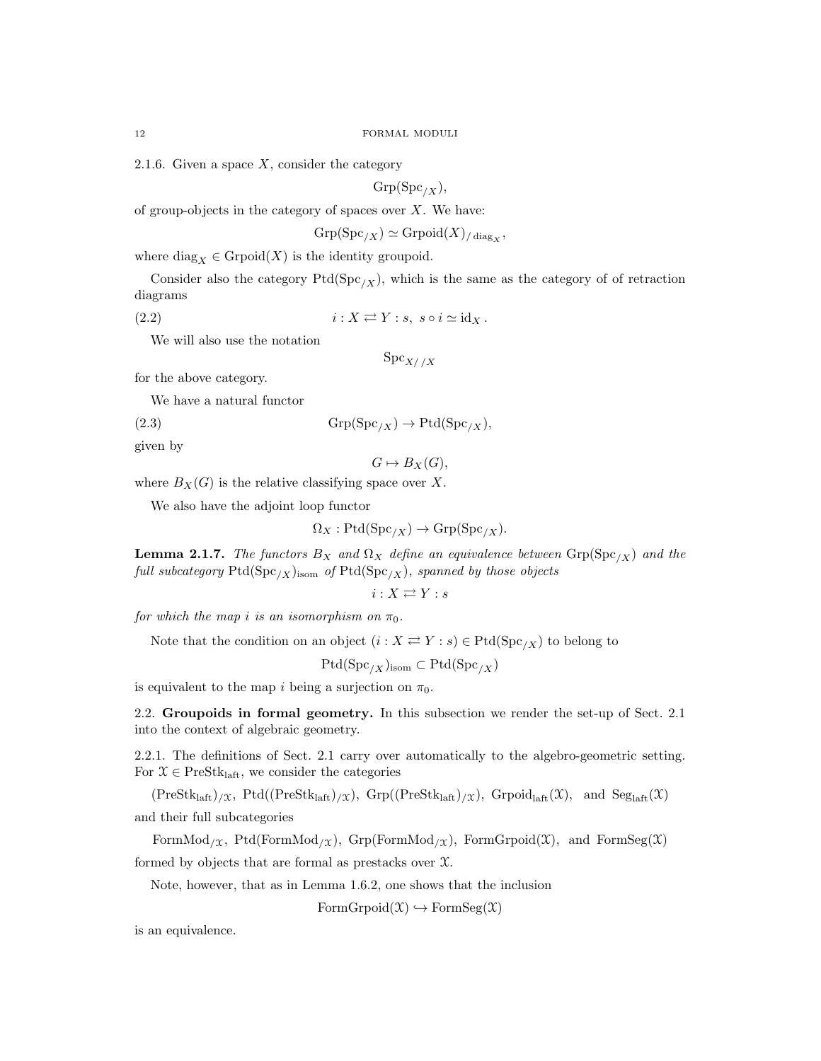2.1.6. Given a space  $X$ , consider the category

 $Grp(Spc_{/X}),$ 

of group-objects in the category of spaces over  $X$ . We have:

$$
\operatorname{Grp}(\operatorname{Spc}_{/X}) \simeq \operatorname{Grpoid}(X)_{/\operatorname{diag}_X},
$$

where  $\text{diag}_X \in \text{Grpoid}(X)$  is the identity groupoid.

Consider also the category  $Ptd(Spc_{/X})$ , which is the same as the category of of retraction diagrams

(2.2)  $i : X \rightleftarrows Y : s, s \circ i \simeq id_X$ .

We will also use the notation

$$
\mathrm{Spc}_{X//X}
$$

for the above category.

We have a natural functor

(2.3)  $\text{Grp}(\text{Spc}_{X}) \to \text{Ptd}(\text{Spc}_{X}),$ 

given by

$$
G \mapsto B_X(G),
$$

where  $B_X(G)$  is the relative classifying space over X.

We also have the adjoint loop functor

$$
\Omega_X: \mathrm{Ptd}(\mathrm{Spc}_{/X}) \to \mathrm{Grp}(\mathrm{Spc}_{/X}).
$$

**Lemma 2.1.7.** The functors  $B_X$  and  $\Omega_X$  define an equivalence between  $\text{Grp}(Spc_{/X})$  and the full subcategory  $Ptd(Spc_{/X})_{\text{isom}}$  of  $Ptd(Spc_{/X})$ , spanned by those objects

$$
i:X\rightleftarrows Y:s
$$

for which the map i is an isomorphism on  $\pi_0$ .

Note that the condition on an object  $(i : X \rightleftarrows Y : s) \in \text{Ptd}(\text{Spc}_{/X})$  to belong to

 $Ptd(Spc_{/X})_{\text{isom}} \subset \text{Ptd}(Spc_{/X})$ 

is equivalent to the map i being a surjection on  $\pi_0$ .

2.2. Groupoids in formal geometry. In this subsection we render the set-up of Sect. 2.1 into the context of algebraic geometry.

2.2.1. The definitions of Sect. 2.1 carry over automatically to the algebro-geometric setting. For  $\mathcal{X} \in \text{PreStk}_{\text{laft}}$ , we consider the categories

 $(PreStk<sub>laff</sub>)_{\mathcal{X}}, Ptd((PreStk<sub>laff</sub>)_{\mathcal{X}}), Grp((PreStk<sub>laff</sub>)_{\mathcal{X}}), Grpoid<sub>laff</sub>(\mathcal{X}), and Seg<sub>laff</sub>(\mathcal{X})$ and their full subcategories

FormMod<sub>/X</sub>, Ptd(FormMod<sub>/X</sub>), Grp(FormMod<sub>/X</sub>), FormGrpoid(X), and FormSeg(X) formed by objects that are formal as prestacks over X.

Note, however, that as in Lemma 1.6.2, one shows that the inclusion

 $FormGroupoid(\mathfrak{X}) \hookrightarrow FormSeg(\mathfrak{X})$ 

is an equivalence.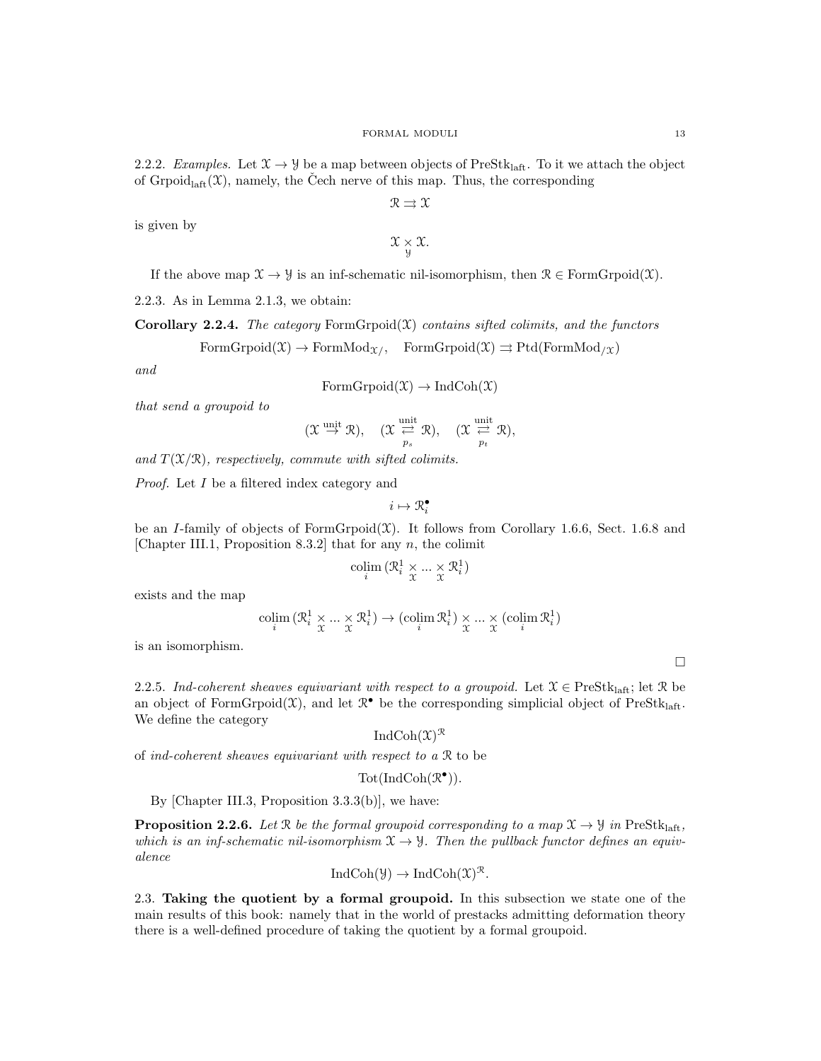2.2.2. Examples. Let  $\mathfrak{X} \to \mathfrak{Y}$  be a map between objects of PreStk<sub>laft</sub>. To it we attach the object of Grpoid<sub>laft</sub> $(\mathfrak{X})$ , namely, the Cech nerve of this map. Thus, the corresponding

 $R \to \Upsilon$ 

is given by

$$
\mathfrak{X}\underset{\mathcal{Y}}{\times}\mathfrak{X}.
$$

If the above map  $\mathfrak{X} \to \mathfrak{Y}$  is an inf-schematic nil-isomorphism, then  $\mathfrak{R} \in \mathrm{FormG}{\mathrm{rpoid}}(\mathfrak{X})$ .

2.2.3. As in Lemma 2.1.3, we obtain:

Corollary 2.2.4. The category  $FormGropoid(X)$  contains sifted colimits, and the functors  $\text{FormG}{\text{rpoid}}(\mathfrak{X}) \to \text{FormMod}_{\mathfrak{X}/}$ ,  $\text{FormG}{\text{rpoid}}(\mathfrak{X}) \rightrightarrows \text{Ptd}(\text{FormMod}_{/\mathfrak{X}})$ 

and

$$
FormGrpoid(\mathfrak{X}) \to IndCoh(\mathfrak{X})
$$

that send a groupoid to

$$
(\mathfrak{X}\overset{\mathrm{unit}}{\rightarrow}\mathfrak{R}),\quad (\mathfrak{X}\overset{\mathrm{unit}}{\underset{p_s}{\rightleftarrows}}\mathfrak{R}),\quad (\mathfrak{X}\overset{\mathrm{unit}}{\underset{p_t}{\rightleftarrows}}\mathfrak{R}),
$$

and  $T(\mathfrak{X}/\mathfrak{R})$ , respectively, commute with sifted colimits.

Proof. Let I be a filtered index category and

$$
i\mapsto \mathfrak{R}^{\bullet}_i
$$

be an I-family of objects of FormGrpoid $(\mathfrak{X})$ . It follows from Corollary 1.6.6, Sect. 1.6.8 and [Chapter III.1, Proposition 8.3.2] that for any  $n$ , the colimit

$$
\operatorname*{colim}_{i} (\mathcal{R}_{i}^{1} \times \ldots \times \mathcal{R}_{i}^{1})
$$

exists and the map

$$
\operatornamewithlimits{colim}_i \left( \mathcal{R}_i^1 \times \ldots \times \mathcal{R}_i^1 \right) \to \left( \operatornamewithlimits{colim}_i \mathcal{R}_i^1 \right) \times \ldots \times \left( \operatornamewithlimits{colim}_i \mathcal{R}_i^1 \right)
$$

is an isomorphism.

2.2.5. Ind-coherent sheaves equivariant with respect to a groupoid. Let  $\mathcal{X} \in \text{PreStk}_{\text{laff}}$ ; let R be an object of FormGrpoid $(\mathfrak{X})$ , and let  $\mathbb{R}^{\bullet}$  be the corresponding simplicial object of PreStk<sub>laft</sub>. We define the category

IndCoh $(\mathfrak{X})^{\mathfrak{R}}$ 

of ind-coherent sheaves equivariant with respect to a R to be

$$
\mathrm{Tot}(\mathrm{Ind}\mathrm{Coh}(\mathcal{R}^\bullet)).
$$

By [Chapter III.3, Proposition 3.3.3(b)], we have:

**Proposition 2.2.6.** Let R be the formal groupoid corresponding to a map  $\mathfrak{X} \to \mathfrak{Y}$  in PreStk<sub>laft</sub>, which is an inf-schematic nil-isomorphism  $\mathfrak{X} \to \mathfrak{Y}$ . Then the pullback functor defines an equivalence

$$
IndCoh(\mathcal{Y}) \to IndCoh(\mathcal{X})^{\mathcal{R}}.
$$

2.3. Taking the quotient by a formal groupoid. In this subsection we state one of the main results of this book: namely that in the world of prestacks admitting deformation theory there is a well-defined procedure of taking the quotient by a formal groupoid.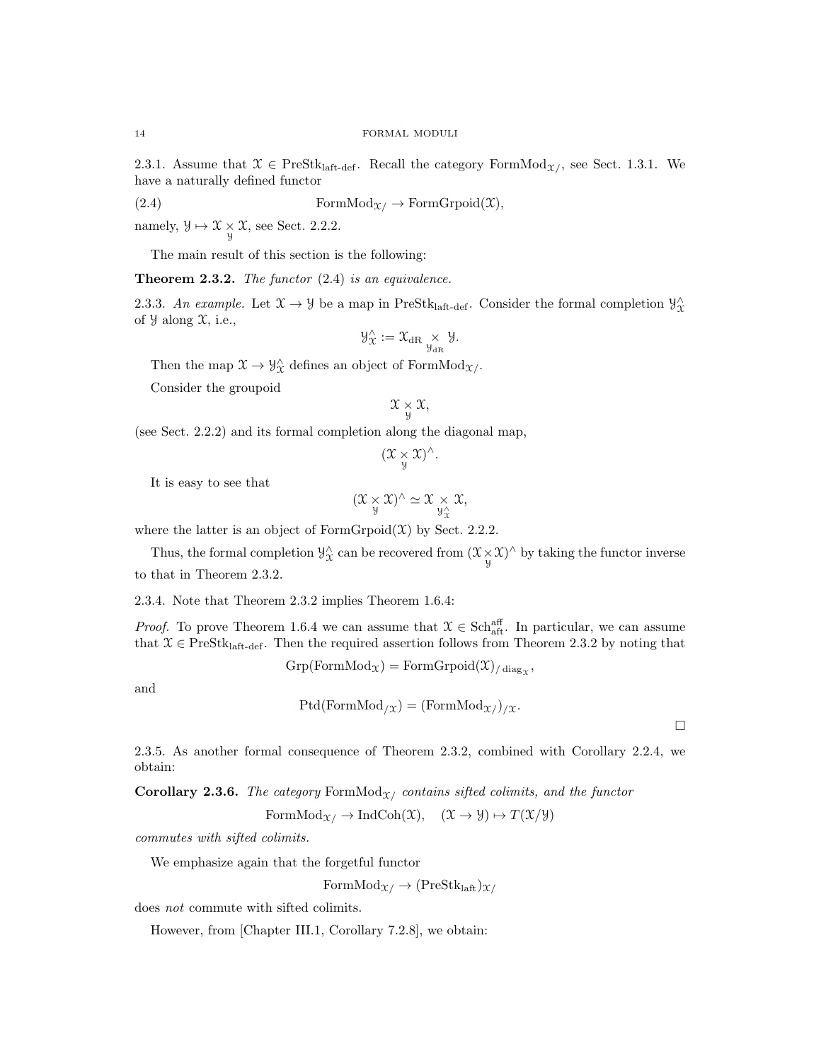2.3.1. Assume that  $\mathcal{X} \in \text{PreStk}_{\text{laff-def}}$ . Recall the category FormMod<sub> $\mathcal{X}$ </sub>, see Sect. 1.3.1. We have a naturally defined functor

(2.4) FormMod<sub>$$
\mathcal{X}
$$</sub>  $\rightarrow$  FormGr<sub>poid</sub>( $\mathcal{X}$ ),

namely,  $\mathcal{Y} \mapsto \mathcal{X} \underset{\mathcal{Y}}{\times} \mathcal{X}$ , see Sect. 2.2.2.

The main result of this section is the following:

**Theorem 2.3.2.** The functor  $(2.4)$  is an equivalence.

2.3.3. An example. Let  $\mathfrak{X} \to \mathfrak{Y}$  be a map in PreStk<sub>laft-def</sub>. Consider the formal completion  $\mathfrak{Y}_{\mathfrak{X}}^{\wedge}$ of  $\mathcal{Y}$  along  $\mathcal{X}$ , i.e.,

$$
\mathcal{Y}_{\mathfrak{X}}^{\wedge} := \mathfrak{X}_{\mathrm{dR}} \underset{\mathcal{Y}_{\mathrm{dR}}}{\times} \mathcal{Y}.
$$

Then the map  $\mathfrak{X} \to \mathcal{Y}^{\wedge}_{\mathfrak{X}}$  defines an object of Form $\text{Mod}_{\mathfrak{X}/\mathfrak{X}}$ .

Consider the groupoid

$$
\mathfrak{X}\underset{\mathcal{Y}}{\times}\mathfrak{X},
$$

(see Sect. 2.2.2) and its formal completion along the diagonal map,

$$
(\mathfrak{X}\underset{\mathcal{Y}}{\times}\mathfrak{X})^{\wedge}.
$$

It is easy to see that

$$
(\mathfrak{X}\underset{\mathcal{Y}}{\times}\mathfrak{X})^{\wedge}\simeq \mathfrak{X}\underset{\mathcal{Y}_{\mathcal{X}}^{\wedge}}{\times}\mathfrak{X},
$$

where the latter is an object of  $FormGroup(\mathfrak{X})$  by Sect. 2.2.2.

Thus, the formal completion  $\mathcal{Y}_{\mathcal{X}}^{\wedge}$  can be recovered from  $(\mathcal{X} \times \mathcal{X})^{\wedge}$  by taking the functor inverse to that in Theorem 2.3.2.

2.3.4. Note that Theorem 2.3.2 implies Theorem 1.6.4:

*Proof.* To prove Theorem 1.6.4 we can assume that  $\mathcal{X} \in \text{Sch}_{\text{aft}}^{\text{aff}}$ . In particular, we can assume that  $\mathcal{X} \in \text{PreStk}_{\text{half-def}}$ . Then the required assertion follows from Theorem 2.3.2 by noting that

$$
\mathrm{Grp}(\mathrm{FormMod}_{\mathfrak{X}})=\mathrm{FormGrpoid}(\mathfrak{X})_{/\operatorname{diag}_{\mathfrak{X}}},
$$

and

 $Ptd(FormMod_{/X}) = (FormMod_{X/})_{/X}.$ 

 $\Box$ 

2.3.5. As another formal consequence of Theorem 2.3.2, combined with Corollary 2.2.4, we obtain:

**Corollary 2.3.6.** The category FormMod<sub> $X/$ </sub> contains sifted colimits, and the functor

 $\label{eq:formMod} \text{FormMod}_{\mathcal{X}/} \to \text{IndCoh}(\mathfrak{X}), \quad (\mathfrak{X} \to \mathcal{Y}) \mapsto T(\mathfrak{X}/\mathcal{Y})$ 

commutes with sifted colimits.

We emphasize again that the forgetful functor

 $FormMod_{\mathfrak{X}} \rightarrow (PreStk<sub>laff</sub>)_{\mathfrak{X}}$ 

does not commute with sifted colimits.

However, from [Chapter III.1, Corollary 7.2.8], we obtain: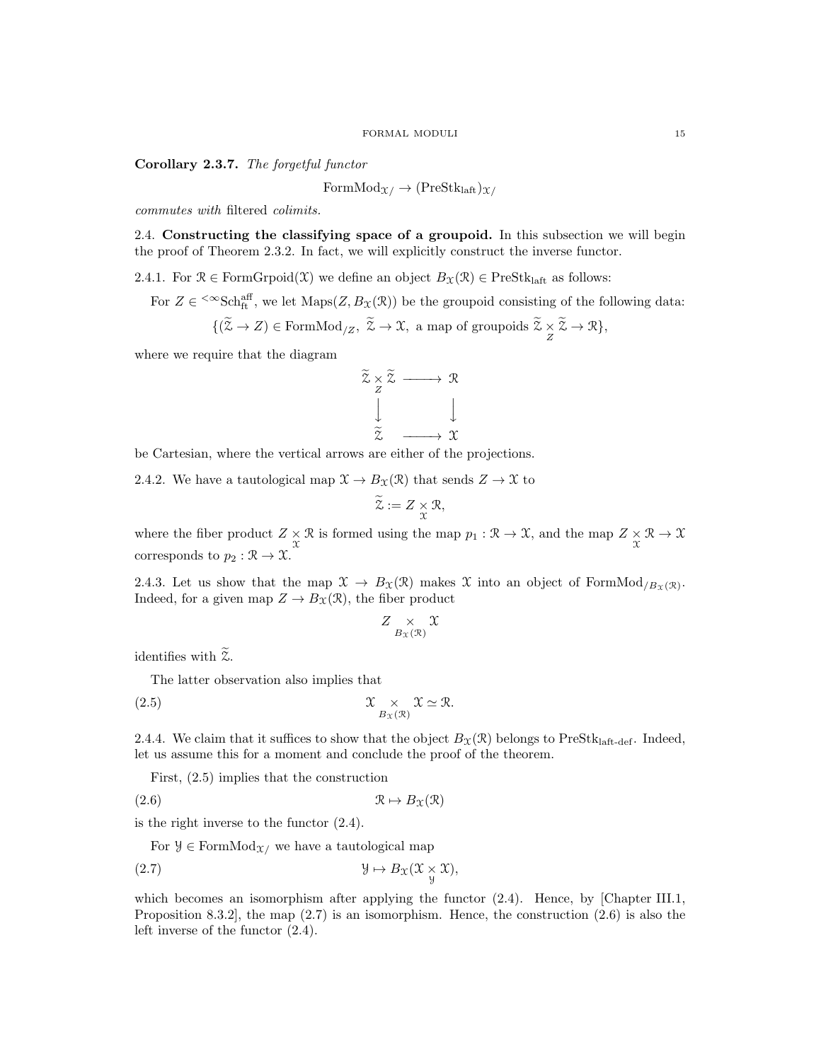# Corollary 2.3.7. The forgetful functor

 $FormMod_{\mathfrak{X}} \rightarrow (PreStk<sub>laff</sub>)_{\mathfrak{X}}$ 

commutes with filtered colimits.

2.4. Constructing the classifying space of a groupoid. In this subsection we will begin the proof of Theorem 2.3.2. In fact, we will explicitly construct the inverse functor.

2.4.1. For  $\mathcal{R} \in \text{FormG}{\text{rpoid}}(\mathcal{X})$  we define an object  $B_{\mathcal{X}}(\mathcal{R}) \in \text{PreStk}_{\text{la}}$  as follows:

For  $Z \in \text{Sch}_{\text{ft}}^{\text{aff}}$ , we let  $\text{Maps}(Z, B_{\mathfrak{X}}(\mathfrak{X}))$  be the groupoid consisting of the following data:

$$
\{(\widetilde{\mathcal{Z}} \to Z) \in \mathrm{FormMod}_{/Z}, \ \widetilde{\mathcal{Z}} \to \mathcal{X}, \text{ a map of groupoids } \widetilde{\mathcal{Z}} \underset{Z}{\times} \widetilde{\mathcal{Z}} \to \mathcal{R}\},
$$

where we require that the diagram



be Cartesian, where the vertical arrows are either of the projections.

2.4.2. We have a tautological map  $\mathfrak{X} \to B_{\mathfrak{X}}(\mathfrak{X})$  that sends  $Z \to \mathfrak{X}$  to

$$
\widetilde{\mathcal{Z}}:=Z\underset{\mathcal{X}}{\times}\mathcal{R},
$$

where the fiber product  $Z \times \mathcal{R}$  is formed using the map  $p_1 : \mathcal{R} \to \mathcal{X}$ , and the map  $Z \times \mathcal{R} \to \mathcal{X}$ corresponds to  $p_2 : \mathcal{R} \to \mathcal{X}$ .

2.4.3. Let us show that the map  $\mathfrak{X} \to B_{\mathfrak{X}}(\mathfrak{X})$  makes X into an object of FormMod<sub>/Bx(R)</sub>. Indeed, for a given map  $Z \to B_{\mathfrak{X}}(\mathfrak{R})$ , the fiber product

$$
Z \underset{B_{\mathfrak{X}}(\mathfrak{X})}{\times} \mathfrak{X}
$$

identifies with  $\widetilde{z}$ .

The latter observation also implies that

(2.5) 
$$
\mathfrak{X} \underset{B_{\mathfrak{X}}(\mathfrak{X})}{\times} \mathfrak{X} \simeq \mathfrak{R}.
$$

2.4.4. We claim that it suffices to show that the object  $B_{\mathfrak{X}}(\mathfrak{R})$  belongs to PreStklatt-def. Indeed, let us assume this for a moment and conclude the proof of the theorem.

First, (2.5) implies that the construction

$$
(2.6) \t\t \mathcal{R} \mapsto B_{\mathfrak{X}}(\mathfrak{X})
$$

is the right inverse to the functor (2.4).

For  $\mathcal{Y} \in \text{FormMod}_{\mathcal{X}}$  we have a tautological map

(2.7) 
$$
\mathcal{Y} \mapsto B_{\mathcal{X}}(\mathcal{X} \underset{\mathcal{Y}}{\times} \mathcal{X}),
$$

which becomes an isomorphism after applying the functor  $(2.4)$ . Hence, by [Chapter III.1, Proposition 8.3.2], the map (2.7) is an isomorphism. Hence, the construction (2.6) is also the left inverse of the functor (2.4).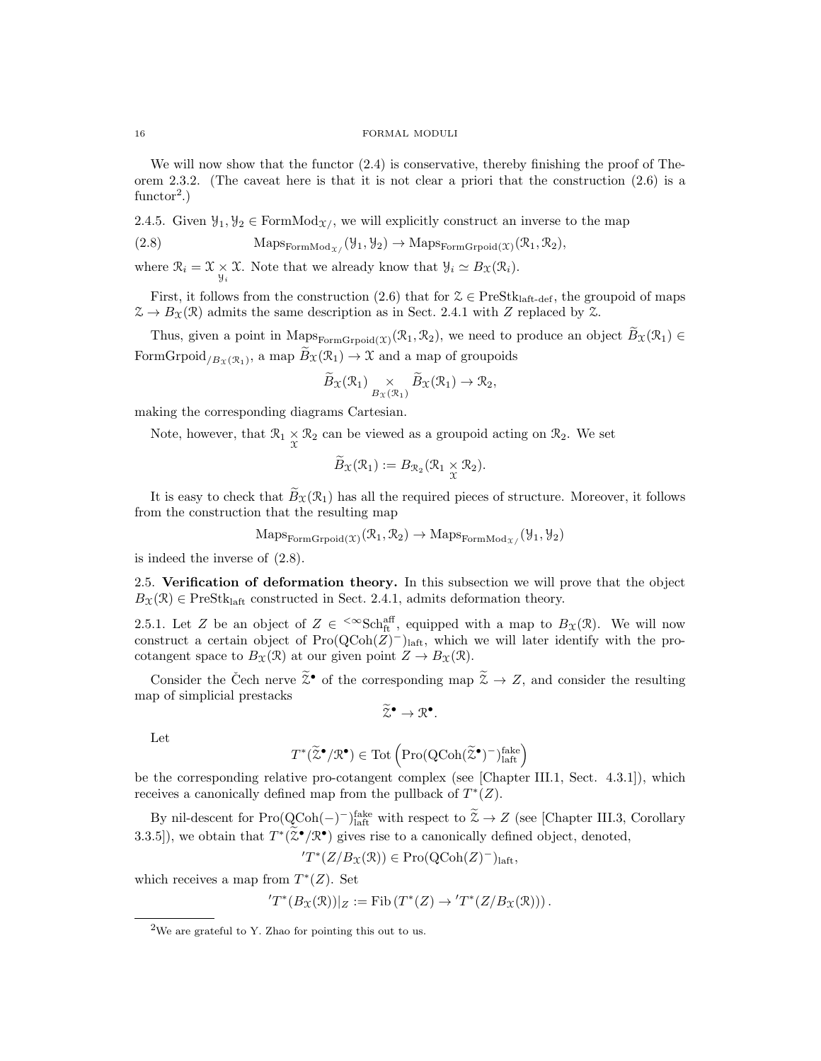We will now show that the functor  $(2.4)$  is conservative, thereby finishing the proof of Theorem 2.3.2. (The caveat here is that it is not clear a priori that the construction (2.6) is a functor<sup>2</sup>.)

2.4.5. Given  $\mathcal{Y}_1, \mathcal{Y}_2 \in \text{FormMod}_{\mathcal{X}}$ , we will explicitly construct an inverse to the map

(2.8) 
$$
\text{Maps}_{\text{FormMod}_{\mathcal{X}}}(\mathcal{Y}_1, \mathcal{Y}_2) \to \text{Maps}_{\text{FormG}{\text{rpoid}(\mathcal{X})}}(\mathcal{R}_1, \mathcal{R}_2),
$$

where  $\mathcal{R}_i = \mathcal{X} \times \mathcal{X}$ . Note that we already know that  $\mathcal{Y}_i \simeq B_{\mathcal{X}}(\mathcal{R}_i)$ .

First, it follows from the construction (2.6) that for  $\mathcal{Z} \in \text{PreStk}_{\text{laff-def}}$ , the groupoid of maps  $\mathcal{Z} \to B_{\mathcal{X}}(\mathcal{R})$  admits the same description as in Sect. 2.4.1 with Z replaced by  $\mathcal{Z}$ .

Thus, given a point in  $\text{Maps}_{\text{FormGropoid}(\mathfrak{X})}(\mathfrak{X}_1, \mathfrak{X}_2)$ , we need to produce an object  $B_{\mathfrak{X}}(\mathfrak{X}_1) \in$ FormGrpoid<sub>/Bx(R<sub>1</sub>)</sub>, a map  $B_{\mathfrak{X}}(\mathcal{R}_1) \to \mathfrak{X}$  and a map of groupoids

$$
\widetilde{B}_{\mathfrak{X}}(\mathcal{R}_1) \underset{B_{\mathfrak{X}}(\mathcal{R}_1)}{\times} \widetilde{B}_{\mathfrak{X}}(\mathcal{R}_1) \to \mathcal{R}_2,
$$

making the corresponding diagrams Cartesian.

Note, however, that  $\mathcal{R}_1 \times \mathcal{R}_2$  can be viewed as a groupoid acting on  $\mathcal{R}_2$ . We set

$$
\widetilde{B}_{\mathfrak{X}}(\mathfrak{R}_1):=B_{\mathfrak{R}_2}(\mathfrak{R}_1\times_{\mathfrak{X}} \mathfrak{R}_2).
$$

It is easy to check that  $\widetilde{B}_{\mathfrak{X}}(\mathcal{R}_1)$  has all the required pieces of structure. Moreover, it follows from the construction that the resulting map

$$
\mathrm{Maps}_{\mathrm{FormGroid}(\mathfrak{X})}(\mathfrak{R}_1, \mathfrak{R}_2) \to \mathrm{Maps}_{\mathrm{FormMod}_{\mathfrak{X}}}(y_1, y_2)
$$

is indeed the inverse of (2.8).

2.5. Verification of deformation theory. In this subsection we will prove that the object  $B_{\mathfrak{X}}(\mathfrak{R}) \in \text{PreStk}_{\text{laff}}$  constructed in Sect. 2.4.1, admits deformation theory.

2.5.1. Let Z be an object of  $Z \in \text{~&Sch}_{ft}^{aff}$ , equipped with a map to  $B_{\mathfrak{X}}(\mathfrak{X})$ . We will now construct a certain object of  $Pro(QCoh(Z)^-)_{\text{laff}}$ , which we will later identify with the procotangent space to  $B_{\mathfrak{X}}(\mathfrak{R})$  at our given point  $Z \to B_{\mathfrak{X}}(\mathfrak{R})$ .

Consider the Čech nerve  $\tilde{\mathbb{Z}}^{\bullet}$  of the corresponding map  $\tilde{\mathbb{Z}} \to \mathbb{Z}$ , and consider the resulting map of simplicial prestacks

$$
\widetilde{\mathcal{Z}}^{\bullet} \to \mathcal{R}^{\bullet}.
$$

Let

$$
T^*(\widetilde{\mathcal{Z}}^\bullet/\mathcal{R}^\bullet)\in\mathrm{Tot}\left(\mathrm{Pro}(\mathrm{QCoh}(\widetilde{\mathcal{Z}}^\bullet)^-)^{\mathrm{fake}}_\mathrm{laft}\right)
$$

be the corresponding relative pro-cotangent complex (see [Chapter III.1, Sect. 4.3.1]), which receives a canonically defined map from the pullback of  $T^*(Z)$ .

By nil-descent for  $\text{Pro}(\text{QCoh}(-))$  hate with respect to  $\tilde{Z} \to Z$  (see [Chapter III.3, Corollary 3.3.5]), we obtain that  $T^*(\tilde{\mathcal{Z}}^{\bullet}/\mathbb{R}^{\bullet})$  gives rise to a canonically defined object, denoted,

$$
T^*(Z/B_{\mathfrak{X}}(\mathfrak{R})) \in \mathrm{Pro}({\rm QCoh}(Z)^-)_{\mathrm{laft}},
$$

which receives a map from  $T^*(Z)$ . Set

$$
T^*(B_{\mathfrak{X}}(\mathfrak{R}))|_Z := \mathrm{Fib}\left(T^*(Z) \to 'T^*(Z/B_{\mathfrak{X}}(\mathfrak{R}))\right).
$$

<sup>2</sup>We are grateful to Y. Zhao for pointing this out to us.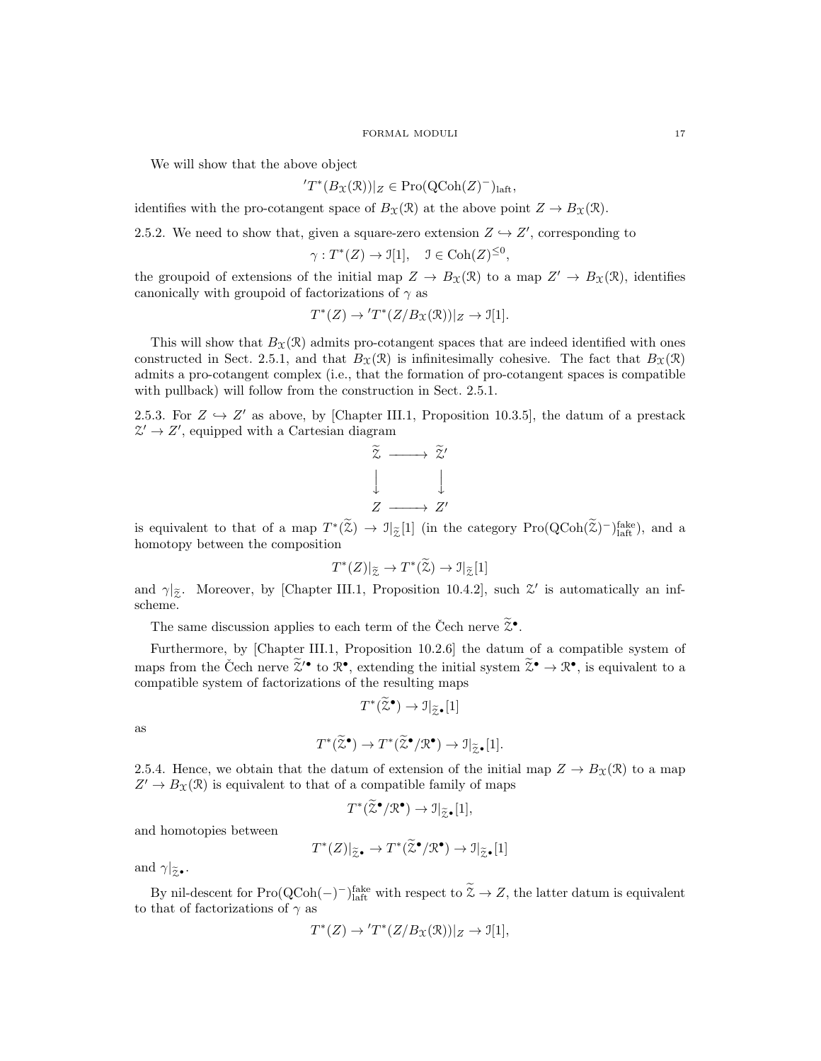We will show that the above object

$$
T^*(B_{\mathfrak{X}}(\mathcal{R}))|_Z \in \mathrm{Pro}(\mathrm{QCoh}(Z)^-)_{\mathrm{laft}},
$$

identifies with the pro-cotangent space of  $B_{\mathfrak{X}}(\mathfrak{R})$  at the above point  $Z \to B_{\mathfrak{X}}(\mathfrak{R})$ .

2.5.2. We need to show that, given a square-zero extension  $Z \hookrightarrow Z'$ , corresponding to

$$
\gamma: T^*(Z) \to \mathcal{I}[1], \quad \mathcal{I} \in \mathrm{Coh}(Z)^{\leq 0},
$$

the groupoid of extensions of the initial map  $Z \to B_{\mathfrak{X}}(\mathfrak{X})$  to a map  $Z' \to B_{\mathfrak{X}}(\mathfrak{X})$ , identifies canonically with groupoid of factorizations of  $\gamma$  as

$$
T^*(Z) \to 'T^*(Z/B_{\mathfrak{X}}(\mathfrak{R}))|_Z \to \mathfrak{I}[1].
$$

This will show that  $B_\mathfrak{X}(\mathfrak{X})$  admits pro-cotangent spaces that are indeed identified with ones constructed in Sect. 2.5.1, and that  $B_{\mathfrak{X}}(\mathfrak{R})$  is infinitesimally cohesive. The fact that  $B_{\mathfrak{X}}(\mathfrak{R})$ admits a pro-cotangent complex (i.e., that the formation of pro-cotangent spaces is compatible with pullback) will follow from the construction in Sect. 2.5.1.

2.5.3. For  $Z \hookrightarrow Z'$  as above, by [Chapter III.1, Proposition 10.3.5], the datum of a prestack  $\mathcal{Z}' \to \mathcal{Z}'$ , equipped with a Cartesian diagram

$$
\begin{array}{ccc}\n\widetilde{z} & \longrightarrow & \widetilde{z}' \\
\downarrow & & \downarrow \\
Z & \longrightarrow & Z'\n\end{array}
$$

is equivalent to that of a map  $T^*(\tilde{\mathfrak{X}}) \to \mathfrak{I}_{\tilde{\mathfrak{X}}}[1]$  (in the category  $\text{Pro}(\text{QCoh}(\tilde{\mathfrak{X}})^-)_{\text{laff}}^{\text{fake}}$ ), and a homotopy between the composition

$$
T^*(Z)|_{\widetilde{\mathcal{Z}}}\to T^*(\widetilde{\mathcal{Z}})\to \mathfrak{I}|_{\widetilde{\mathcal{Z}}}[1]
$$

and  $\gamma|_{\tilde{z}}$ . Moreover, by [Chapter III.1, Proposition 10.4.2], such  $\mathcal{Z}'$  is automatically an infscheme.

The same discussion applies to each term of the Čech nerve  $\tilde{z}^{\bullet}$ .

Furthermore, by [Chapter III.1, Proposition 10.2.6] the datum of a compatible system of maps from the Čech nerve  $\tilde{\chi}^{\bullet}$  to  $\mathbb{R}^{\bullet}$ , extending the initial system  $\tilde{\chi}^{\bullet} \to \mathbb{R}^{\bullet}$ , is equivalent to a compatible system of factorizations of the resulting maps

$$
T^*(\widetilde{\mathfrak{Z}}^{\bullet}) \to \mathfrak{I}|_{\widetilde{\mathfrak{Z}}^{\bullet}}[1]
$$

as

$$
T^*(\widetilde{\mathbb{Z}}^{\bullet}) \to T^*(\widetilde{\mathbb{Z}}^{\bullet}/\mathbb{R}^{\bullet}) \to \mathbb{I}|_{\widetilde{\mathbb{Z}}^{\bullet}}[1].
$$

2.5.4. Hence, we obtain that the datum of extension of the initial map  $Z \to B_{\mathfrak{X}}(\mathfrak{R})$  to a map  $Z' \to B_X(\mathcal{R})$  is equivalent to that of a compatible family of maps

$$
T^*(\widetilde{\mathbb{Z}}^\bullet/\mathcal{R}^\bullet) \to \mathbb{J}|_{\widetilde{\mathbb{Z}}^\bullet}[1],
$$

and homotopies between

$$
T^*(Z)|_{\widetilde{Z}^{\bullet}} \to T^*(\widetilde{\mathcal{Z}}^{\bullet}/\mathcal{R}^{\bullet}) \to \mathfrak{I}|_{\widetilde{Z}^{\bullet}}[1]
$$

and  $\gamma|_{\widetilde{z}}$ .

By nil-descent for Pro( $\text{QCoh}(-)^{-}\text{{}$ <sup>1</sup> fake with respect to  $\mathcal{Z} \to Z$ , the latter datum is equivalent to that of factorizations of  $\gamma$  as

$$
T^*(Z) \to 'T^*(Z/B_{\mathfrak{X}}(\mathfrak{R}))|_Z \to \mathfrak{I}[1],
$$